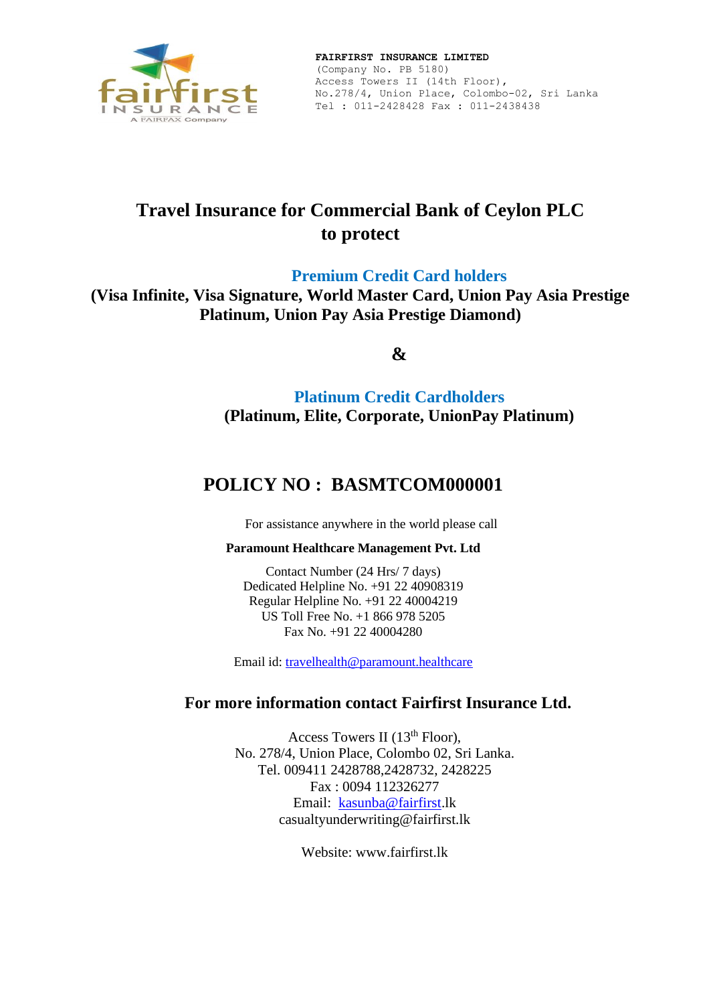

# **Travel Insurance for Commercial Bank of Ceylon PLC to protect**

**Premium Credit Card holders**

**(Visa Infinite, Visa Signature, World Master Card, Union Pay Asia Prestige Platinum, Union Pay Asia Prestige Diamond)**

**&**

**Platinum Credit Cardholders (Platinum, Elite, Corporate, UnionPay Platinum)**

# **POLICY NO : BASMTCOM000001**

For assistance anywhere in the world please call

# **Paramount Healthcare Management Pvt. Ltd**

Contact Number (24 Hrs/ 7 days) Dedicated Helpline No. +91 22 40908319 Regular Helpline No. +91 22 40004219 US Toll Free No. +1 866 978 5205 Fax No. +91 22 40004280

Email id: [travelhealth@paramount.healthcare](mailto:travelhealth@paramount.healthcare)

# **For more information contact Fairfirst Insurance Ltd.**

Access Towers II ( $13<sup>th</sup>$  Floor), No. 278/4, Union Place, Colombo 02, Sri Lanka. Tel. 009411 2428788,2428732, 2428225 Fax : 0094 112326277 Email: [kasunba@fairfirst.](mailto:kasunba@fairfirst)lk casualtyunderwriting@fairfirst.lk

Website: www.fairfirst.lk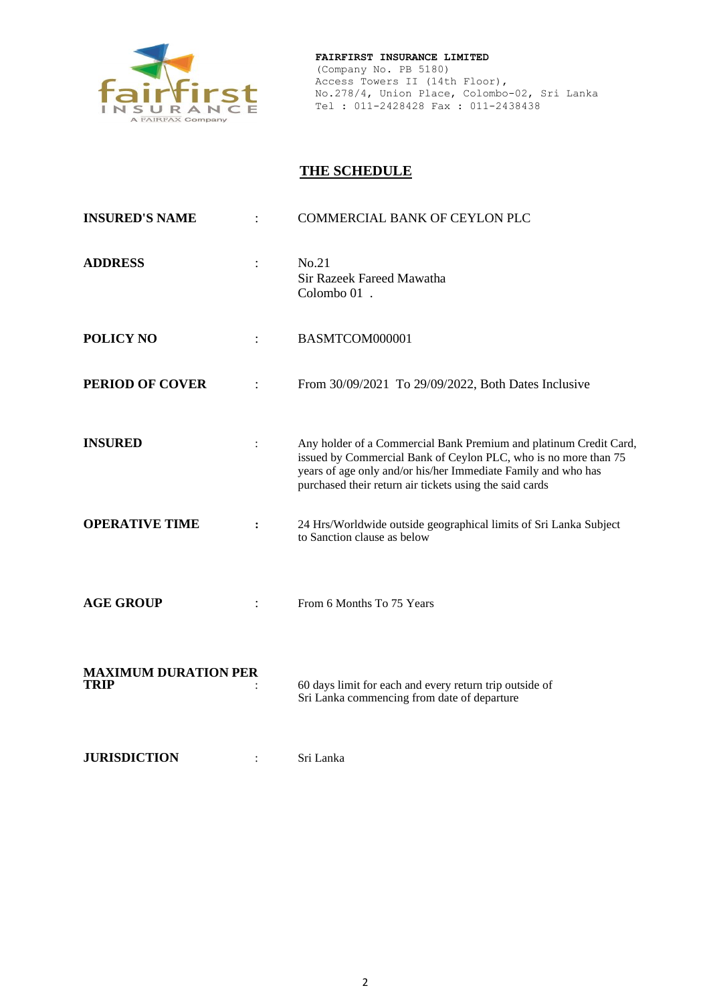

# **THE SCHEDULE**

| <b>INSURED'S NAME</b>                      |                | <b>COMMERCIAL BANK OF CEYLON PLC</b>                                                                                                                                                                                                                             |
|--------------------------------------------|----------------|------------------------------------------------------------------------------------------------------------------------------------------------------------------------------------------------------------------------------------------------------------------|
| <b>ADDRESS</b>                             | $\ddot{\cdot}$ | No.21<br>Sir Razeek Fareed Mawatha<br>Colombo 01.                                                                                                                                                                                                                |
| <b>POLICY NO</b>                           |                | BASMTCOM000001                                                                                                                                                                                                                                                   |
| <b>PERIOD OF COVER</b>                     |                | From 30/09/2021 To 29/09/2022, Both Dates Inclusive                                                                                                                                                                                                              |
| <b>INSURED</b>                             | $\ddot{\cdot}$ | Any holder of a Commercial Bank Premium and platinum Credit Card,<br>issued by Commercial Bank of Ceylon PLC, who is no more than 75<br>years of age only and/or his/her Immediate Family and who has<br>purchased their return air tickets using the said cards |
| <b>OPERATIVE TIME</b>                      | :              | 24 Hrs/Worldwide outside geographical limits of Sri Lanka Subject<br>to Sanction clause as below                                                                                                                                                                 |
| <b>AGE GROUP</b>                           |                | From 6 Months To 75 Years                                                                                                                                                                                                                                        |
| <b>MAXIMUM DURATION PER</b><br><b>TRIP</b> |                | 60 days limit for each and every return trip outside of<br>Sri Lanka commencing from date of departure                                                                                                                                                           |
| <b>JURISDICTION</b>                        | $\ddot{\cdot}$ | Sri Lanka                                                                                                                                                                                                                                                        |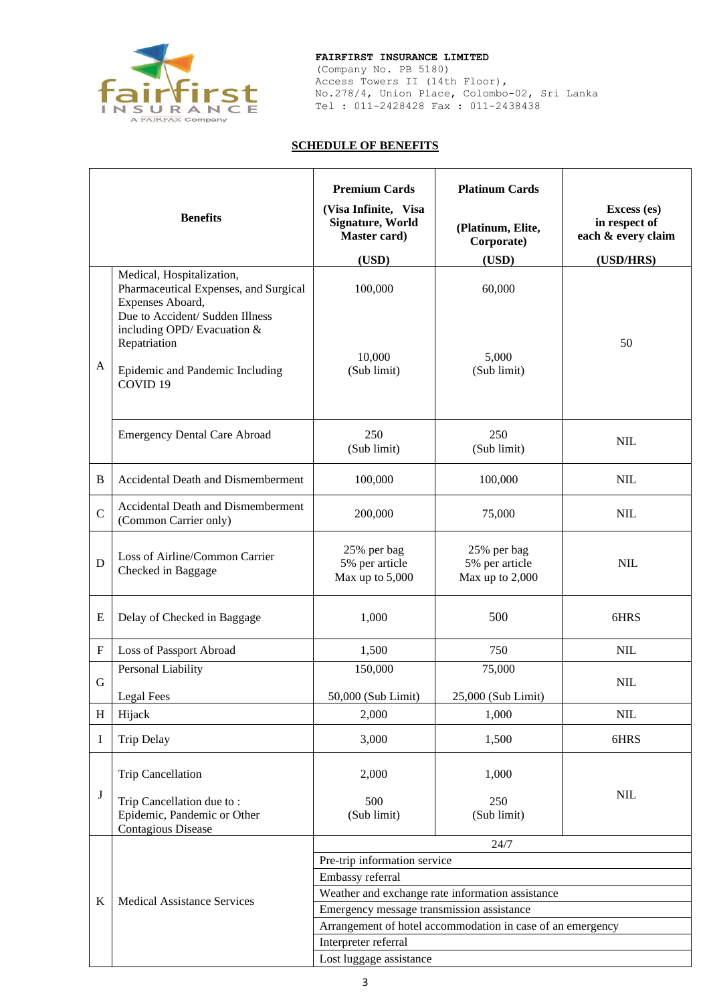

(Company No. PB 5180) Access Towers II (14th Floor), No.278/4, Union Place, Colombo-02, Sri Lanka Tel : 011-2428428 Fax : 011-2438438

## **SCHEDULE OF BENEFITS**

|             | <b>Benefits</b>                                                                                                                                                                                                                    | <b>Premium Cards</b><br>(Visa Infinite, Visa<br><b>Signature, World</b><br>Master card)<br>(USD) | <b>Platinum Cards</b><br>(Platinum, Elite,<br>Corporate)<br>(USD) | Excess (es)<br>in respect of<br>each & every claim<br>(USD/HRS) |
|-------------|------------------------------------------------------------------------------------------------------------------------------------------------------------------------------------------------------------------------------------|--------------------------------------------------------------------------------------------------|-------------------------------------------------------------------|-----------------------------------------------------------------|
| A           | Medical, Hospitalization,<br>Pharmaceutical Expenses, and Surgical<br>Expenses Aboard,<br>Due to Accident/ Sudden Illness<br>including OPD/ Evacuation &<br>Repatriation<br>Epidemic and Pandemic Including<br>COVID <sub>19</sub> | 100,000<br>10,000<br>(Sub limit)                                                                 | 60,000<br>5,000<br>(Sub limit)                                    | 50                                                              |
|             | <b>Emergency Dental Care Abroad</b>                                                                                                                                                                                                | 250<br>(Sub limit)                                                                               | 250<br>(Sub limit)                                                | <b>NIL</b>                                                      |
| B           | <b>Accidental Death and Dismemberment</b>                                                                                                                                                                                          | 100,000                                                                                          | 100,000                                                           | <b>NIL</b>                                                      |
| $\mathbf C$ | Accidental Death and Dismemberment<br>(Common Carrier only)                                                                                                                                                                        | 200,000                                                                                          | 75,000                                                            | <b>NIL</b>                                                      |
| D           | Loss of Airline/Common Carrier<br>Checked in Baggage                                                                                                                                                                               | 25% per bag<br>5% per article<br>Max up to 5,000                                                 | 25% per bag<br>5% per article<br>Max up to 2,000                  | <b>NIL</b>                                                      |
| Ε           | Delay of Checked in Baggage                                                                                                                                                                                                        | 1,000                                                                                            | 500                                                               | 6HRS                                                            |
| $\mathbf F$ | Loss of Passport Abroad                                                                                                                                                                                                            | 1,500                                                                                            | 750                                                               | NIL                                                             |
| G           | Personal Liability<br>Legal Fees                                                                                                                                                                                                   | 150,000<br>50,000 (Sub Limit)                                                                    | 75,000<br>25,000 (Sub Limit)                                      | <b>NIL</b>                                                      |
| $H_{\rm}$   | Hijack                                                                                                                                                                                                                             | 2,000                                                                                            | 1,000                                                             | NIL                                                             |
| I           | <b>Trip Delay</b>                                                                                                                                                                                                                  | 3,000                                                                                            | 1,500                                                             | 6HRS                                                            |
| J           | <b>Trip Cancellation</b><br>Trip Cancellation due to:<br>Epidemic, Pandemic or Other<br>Contagious Disease                                                                                                                         | 2,000<br>500<br>(Sub limit)                                                                      | 1,000<br>250<br>(Sub limit)                                       | <b>NIL</b>                                                      |
|             |                                                                                                                                                                                                                                    |                                                                                                  | 24/7                                                              |                                                                 |
|             |                                                                                                                                                                                                                                    | Pre-trip information service                                                                     |                                                                   |                                                                 |
|             |                                                                                                                                                                                                                                    | Embassy referral                                                                                 |                                                                   |                                                                 |
| K           | <b>Medical Assistance Services</b>                                                                                                                                                                                                 | Weather and exchange rate information assistance<br>Emergency message transmission assistance    |                                                                   |                                                                 |
|             |                                                                                                                                                                                                                                    | Arrangement of hotel accommodation in case of an emergency                                       |                                                                   |                                                                 |
|             |                                                                                                                                                                                                                                    | Interpreter referral                                                                             |                                                                   |                                                                 |
|             |                                                                                                                                                                                                                                    | Lost luggage assistance                                                                          |                                                                   |                                                                 |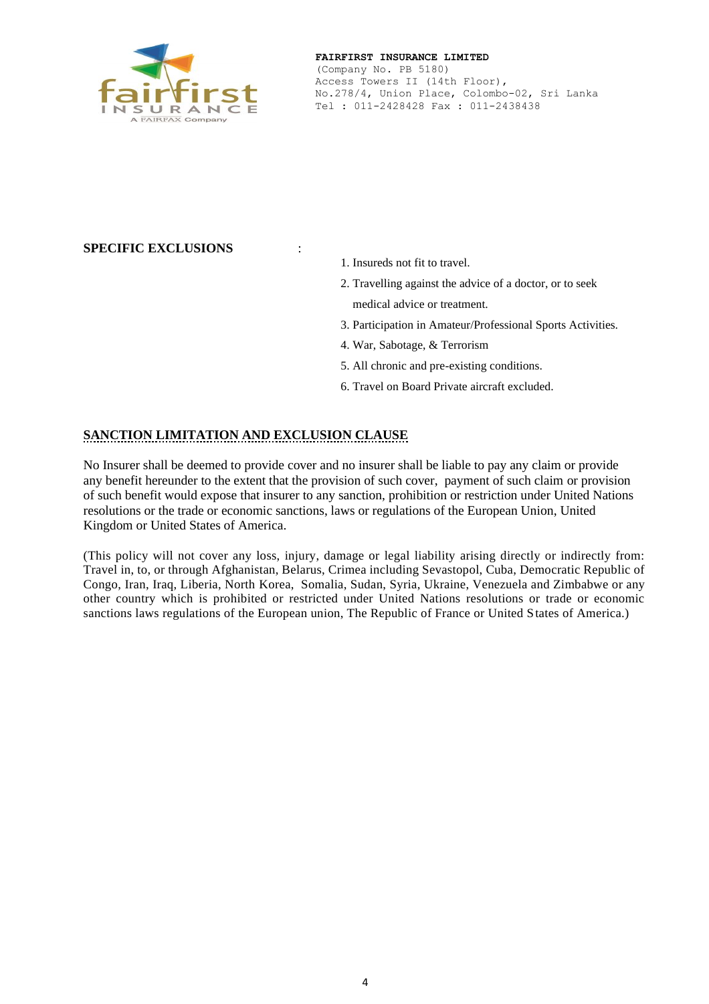

# **SPECIFIC EXCLUSIONS** :

- 1. Insureds not fit to travel.
- 2. Travelling against the advice of a doctor, or to seek medical advice or treatment.
- 3. Participation in Amateur/Professional Sports Activities.
- 4. War, Sabotage, & Terrorism
- 5. All chronic and pre-existing conditions.
- 6. Travel on Board Private aircraft excluded.

# **SANCTION LIMITATION AND EXCLUSION CLAUSE**

No Insurer shall be deemed to provide cover and no insurer shall be liable to pay any claim or provide any benefit hereunder to the extent that the provision of such cover, payment of such claim or provision of such benefit would expose that insurer to any sanction, prohibition or restriction under United Nations resolutions or the trade or economic sanctions, laws or regulations of the European Union, United Kingdom or United States of America.

(This policy will not cover any loss, injury, damage or legal liability arising directly or indirectly from: Travel in, to, or through Afghanistan, Belarus, Crimea including Sevastopol, Cuba, Democratic Republic of Congo, Iran, Iraq, Liberia, North Korea, Somalia, Sudan, Syria, Ukraine, Venezuela and Zimbabwe or any other country which is prohibited or restricted under United Nations resolutions or trade or economic sanctions laws regulations of the European union, The Republic of France or United States of America.)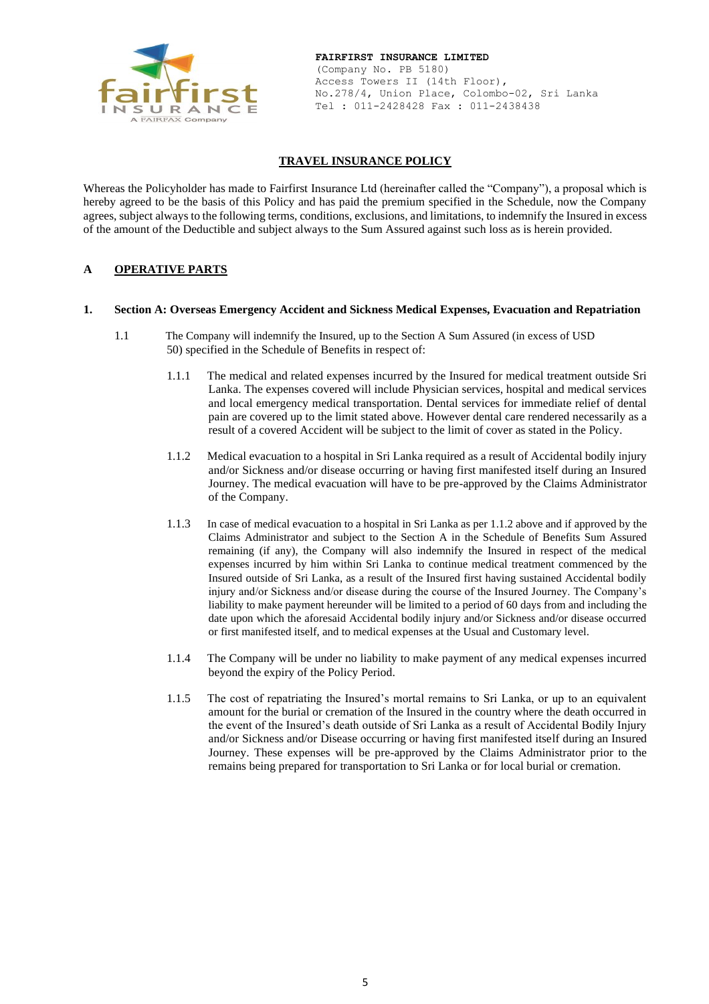

## **TRAVEL INSURANCE POLICY**

Whereas the Policyholder has made to Fairfirst Insurance Ltd (hereinafter called the "Company"), a proposal which is hereby agreed to be the basis of this Policy and has paid the premium specified in the Schedule, now the Company agrees, subject always to the following terms, conditions, exclusions, and limitations, to indemnify the Insured in excess of the amount of the Deductible and subject always to the Sum Assured against such loss as is herein provided.

### **A OPERATIVE PARTS**

#### **1. Section A: Overseas Emergency Accident and Sickness Medical Expenses, Evacuation and Repatriation**

- 1.1 The Company will indemnify the Insured, up to the Section A Sum Assured (in excess of USD 50) specified in the Schedule of Benefits in respect of:
	- 1.1.1 The medical and related expenses incurred by the Insured for medical treatment outside Sri Lanka. The expenses covered will include Physician services, hospital and medical services and local emergency medical transportation. Dental services for immediate relief of dental pain are covered up to the limit stated above. However dental care rendered necessarily as a result of a covered Accident will be subject to the limit of cover as stated in the Policy.
	- 1.1.2 Medical evacuation to a hospital in Sri Lanka required as a result of Accidental bodily injury and/or Sickness and/or disease occurring or having first manifested itself during an Insured Journey. The medical evacuation will have to be pre-approved by the Claims Administrator of the Company.
	- 1.1.3 In case of medical evacuation to a hospital in Sri Lanka as per 1.1.2 above and if approved by the Claims Administrator and subject to the Section A in the Schedule of Benefits Sum Assured remaining (if any), the Company will also indemnify the Insured in respect of the medical expenses incurred by him within Sri Lanka to continue medical treatment commenced by the Insured outside of Sri Lanka, as a result of the Insured first having sustained Accidental bodily injury and/or Sickness and/or disease during the course of the Insured Journey. The Company's liability to make payment hereunder will be limited to a period of 60 days from and including the date upon which the aforesaid Accidental bodily injury and/or Sickness and/or disease occurred or first manifested itself, and to medical expenses at the Usual and Customary level.
	- 1.1.4 The Company will be under no liability to make payment of any medical expenses incurred beyond the expiry of the Policy Period.
	- 1.1.5 The cost of repatriating the Insured's mortal remains to Sri Lanka, or up to an equivalent amount for the burial or cremation of the Insured in the country where the death occurred in the event of the Insured's death outside of Sri Lanka as a result of Accidental Bodily Injury and/or Sickness and/or Disease occurring or having first manifested itself during an Insured Journey. These expenses will be pre-approved by the Claims Administrator prior to the remains being prepared for transportation to Sri Lanka or for local burial or cremation.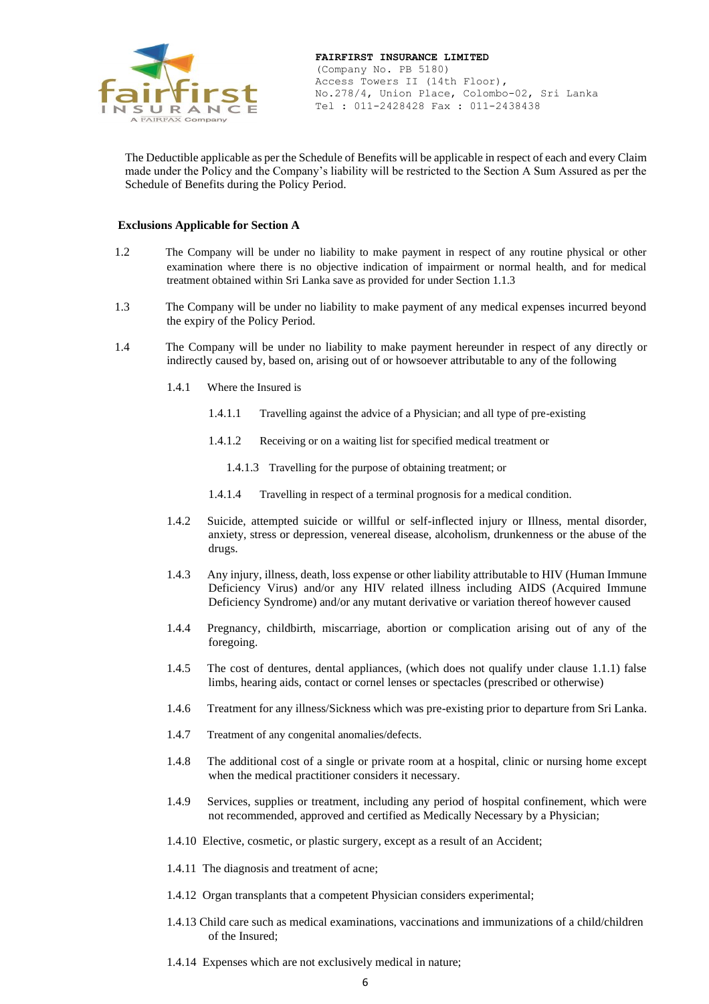

The Deductible applicable as per the Schedule of Benefits will be applicable in respect of each and every Claim made under the Policy and the Company's liability will be restricted to the Section A Sum Assured as per the Schedule of Benefits during the Policy Period.

#### **Exclusions Applicable for Section A**

- 1.2 The Company will be under no liability to make payment in respect of any routine physical or other examination where there is no objective indication of impairment or normal health, and for medical treatment obtained within Sri Lanka save as provided for under Section 1.1.3
- 1.3 The Company will be under no liability to make payment of any medical expenses incurred beyond the expiry of the Policy Period.
- 1.4 The Company will be under no liability to make payment hereunder in respect of any directly or indirectly caused by, based on, arising out of or howsoever attributable to any of the following
	- 1.4.1 Where the Insured is
		- 1.4.1.1 Travelling against the advice of a Physician; and all type of pre-existing
		- 1.4.1.2 Receiving or on a waiting list for specified medical treatment or
			- 1.4.1.3 Travelling for the purpose of obtaining treatment; or
		- 1.4.1.4 Travelling in respect of a terminal prognosis for a medical condition.
	- 1.4.2 Suicide, attempted suicide or willful or self-inflected injury or Illness, mental disorder, anxiety, stress or depression, venereal disease, alcoholism, drunkenness or the abuse of the drugs.
	- 1.4.3 Any injury, illness, death, loss expense or other liability attributable to HIV (Human Immune Deficiency Virus) and/or any HIV related illness including AIDS (Acquired Immune Deficiency Syndrome) and/or any mutant derivative or variation thereof however caused
	- 1.4.4 Pregnancy, childbirth, miscarriage, abortion or complication arising out of any of the foregoing.
	- 1.4.5 The cost of dentures, dental appliances, (which does not qualify under clause 1.1.1) false limbs, hearing aids, contact or cornel lenses or spectacles (prescribed or otherwise)
	- 1.4.6 Treatment for any illness/Sickness which was pre-existing prior to departure from Sri Lanka.
	- 1.4.7 Treatment of any congenital anomalies/defects.
	- 1.4.8 The additional cost of a single or private room at a hospital, clinic or nursing home except when the medical practitioner considers it necessary.
	- 1.4.9 Services, supplies or treatment, including any period of hospital confinement, which were not recommended, approved and certified as Medically Necessary by a Physician;
	- 1.4.10 Elective, cosmetic, or plastic surgery, except as a result of an Accident;
	- 1.4.11 The diagnosis and treatment of acne;
	- 1.4.12 Organ transplants that a competent Physician considers experimental;
	- 1.4.13 Child care such as medical examinations, vaccinations and immunizations of a child/children of the Insured;
	- 1.4.14 Expenses which are not exclusively medical in nature;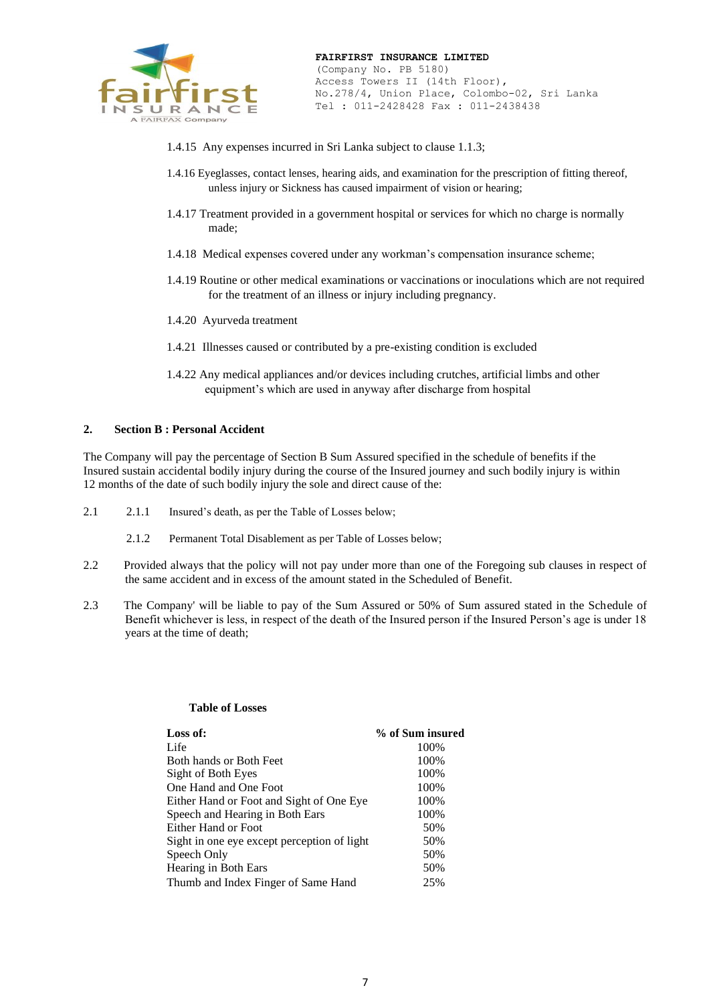

- 1.4.15 Any expenses incurred in Sri Lanka subject to clause 1.1.3;
- 1.4.16 Eyeglasses, contact lenses, hearing aids, and examination for the prescription of fitting thereof, unless injury or Sickness has caused impairment of vision or hearing;
- 1.4.17 Treatment provided in a government hospital or services for which no charge is normally made;
- 1.4.18 Medical expenses covered under any workman's compensation insurance scheme;
- 1.4.19 Routine or other medical examinations or vaccinations or inoculations which are not required for the treatment of an illness or injury including pregnancy.
- 1.4.20 Ayurveda treatment
- 1.4.21 Illnesses caused or contributed by a pre-existing condition is excluded
- 1.4.22 Any medical appliances and/or devices including crutches, artificial limbs and other equipment's which are used in anyway after discharge from hospital

#### **2. Section B : Personal Accident**

The Company will pay the percentage of Section B Sum Assured specified in the schedule of benefits if the Insured sustain accidental bodily injury during the course of the Insured journey and such bodily injury is within 12 months of the date of such bodily injury the sole and direct cause of the:

- 2.1 2.1.1 Insured's death, as per the Table of Losses below;
	- 2.1.2 Permanent Total Disablement as per Table of Losses below;
- 2.2 Provided always that the policy will not pay under more than one of the Foregoing sub clauses in respect of the same accident and in excess of the amount stated in the Scheduled of Benefit.
- 2.3 The Company' will be liable to pay of the Sum Assured or 50% of Sum assured stated in the Schedule of Benefit whichever is less, in respect of the death of the Insured person if the Insured Person's age is under 18 years at the time of death;

#### **Table of Losses**

| Loss of:                                    | % of Sum insured |
|---------------------------------------------|------------------|
| Life                                        | 100%             |
| Both hands or Both Feet                     | 100%             |
| Sight of Both Eyes                          | 100%             |
| One Hand and One Foot                       | 100%             |
| Either Hand or Foot and Sight of One Eye    | 100%             |
| Speech and Hearing in Both Ears             | 100%             |
| Either Hand or Foot                         | 50%              |
| Sight in one eye except perception of light | 50%              |
| Speech Only                                 | 50%              |
| Hearing in Both Ears                        | 50%              |
| Thumb and Index Finger of Same Hand         | 25%              |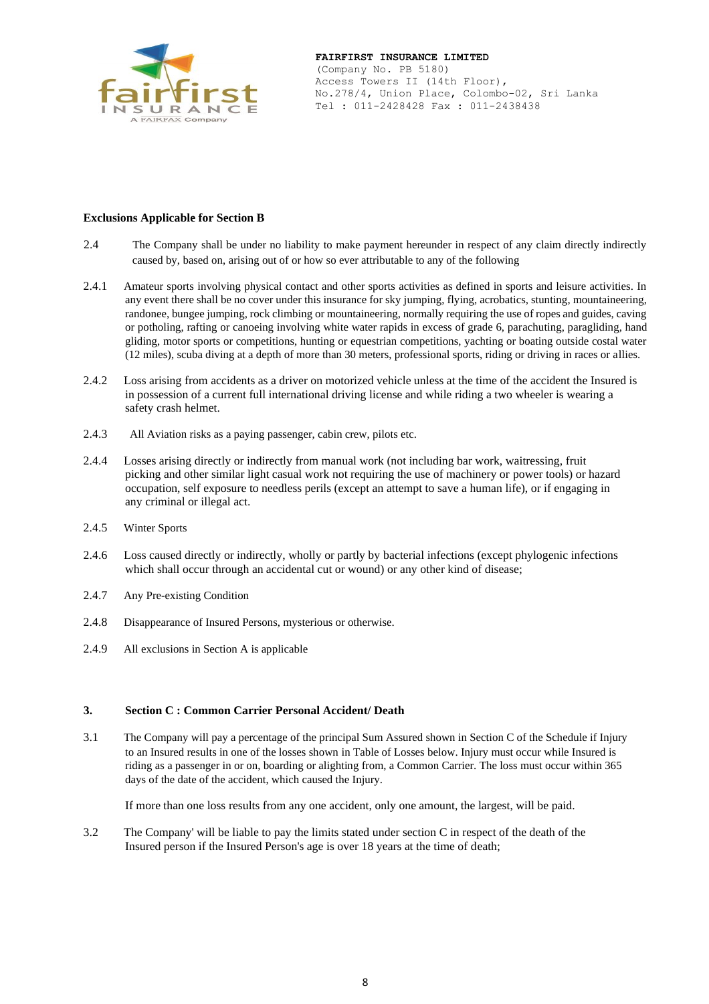

#### **Exclusions Applicable for Section B**

- 2.4 The Company shall be under no liability to make payment hereunder in respect of any claim directly indirectly caused by, based on, arising out of or how so ever attributable to any of the following
- 2.4.1 Amateur sports involving physical contact and other sports activities as defined in sports and leisure activities. In any event there shall be no cover under this insurance for sky jumping, flying, acrobatics, stunting, mountaineering, randonee, bungee jumping, rock climbing or mountaineering, normally requiring the use of ropes and guides, caving or potholing, rafting or canoeing involving white water rapids in excess of grade 6, parachuting, paragliding, hand gliding, motor sports or competitions, hunting or equestrian competitions, yachting or boating outside costal water (12 miles), scuba diving at a depth of more than 30 meters, professional sports, riding or driving in races or allies.
- 2.4.2 Loss arising from accidents as a driver on motorized vehicle unless at the time of the accident the Insured is in possession of a current full international driving license and while riding a two wheeler is wearing a safety crash helmet.
- 2.4.3 All Aviation risks as a paying passenger, cabin crew, pilots etc.
- 2.4.4 Losses arising directly or indirectly from manual work (not including bar work, waitressing, fruit picking and other similar light casual work not requiring the use of machinery or power tools) or hazard occupation, self exposure to needless perils (except an attempt to save a human life), or if engaging in any criminal or illegal act.
- 2.4.5 Winter Sports
- 2.4.6 Loss caused directly or indirectly, wholly or partly by bacterial infections (except phylogenic infections which shall occur through an accidental cut or wound) or any other kind of disease;
- 2.4.7 Any Pre-existing Condition
- 2.4.8 Disappearance of Insured Persons, mysterious or otherwise.
- 2.4.9 All exclusions in Section A is applicable

#### **3. Section C : Common Carrier Personal Accident/ Death**

3.1 The Company will pay a percentage of the principal Sum Assured shown in Section C of the Schedule if Injury to an Insured results in one of the losses shown in Table of Losses below. Injury must occur while Insured is riding as a passenger in or on, boarding or alighting from, a Common Carrier. The loss must occur within 365 days of the date of the accident, which caused the Injury.

If more than one loss results from any one accident, only one amount, the largest, will be paid.

3.2 The Company' will be liable to pay the limits stated under section C in respect of the death of the Insured person if the Insured Person's age is over 18 years at the time of death;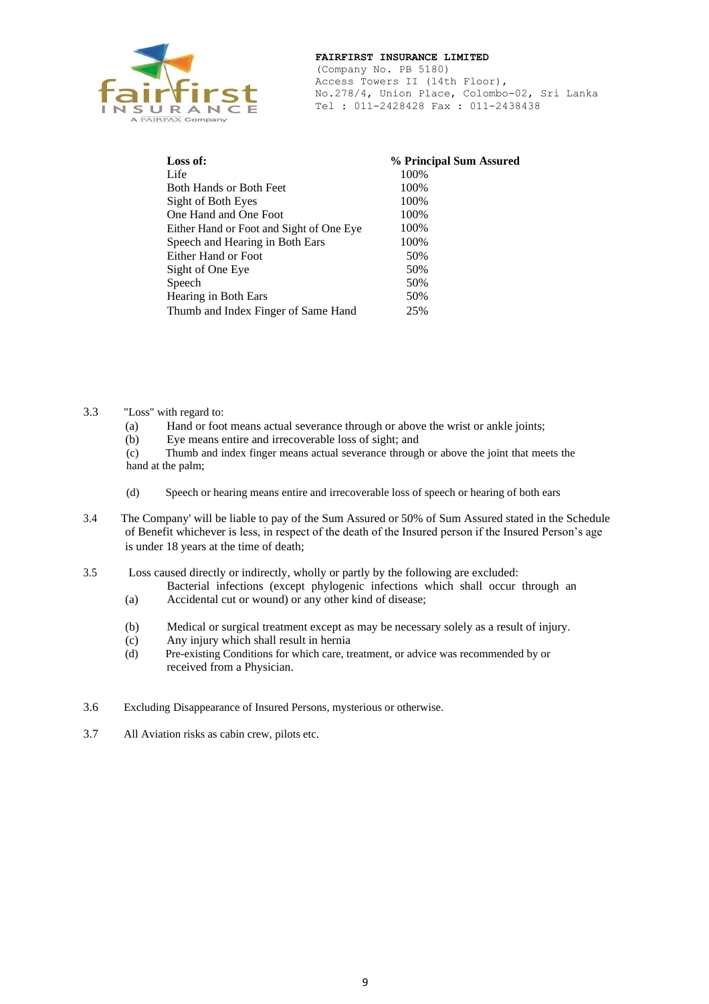

(Company No. PB 5180) Access Towers II (14th Floor), No.278/4, Union Place, Colombo-02, Sri Lanka Tel : 011-2428428 Fax : 011-2438438

| Loss of:                                 | % Principal Sum Assured |
|------------------------------------------|-------------------------|
| Life                                     | 100%                    |
| Both Hands or Both Feet                  | 100%                    |
| Sight of Both Eyes                       | 100%                    |
| One Hand and One Foot                    | 100%                    |
| Either Hand or Foot and Sight of One Eye | 100%                    |
| Speech and Hearing in Both Ears          | 100%                    |
| Either Hand or Foot                      | 50%                     |
| Sight of One Eye                         | 50%                     |
| Speech                                   | 50%                     |
| Hearing in Both Ears                     | 50%                     |
| Thumb and Index Finger of Same Hand      | 25%                     |
|                                          |                         |

#### 3.3 "Loss" with regard to:

- (a) Hand or foot means actual severance through or above the wrist or ankle joints;
- (b) Eye means entire and irrecoverable loss of sight; and

(c) Thumb and index finger means actual severance through or above the joint that meets the hand at the palm;

- (d) Speech or hearing means entire and irrecoverable loss of speech or hearing of both ears
- 3.4 The Company' will be liable to pay of the Sum Assured or 50% of Sum Assured stated in the Schedule of Benefit whichever is less, in respect of the death of the Insured person if the Insured Person's age is under 18 years at the time of death;
- 3.5 Loss caused directly or indirectly, wholly or partly by the following are excluded:
	- Bacterial infections (except phylogenic infections which shall occur through an
	- (a) Accidental cut or wound) or any other kind of disease;
	- (b) Medical or surgical treatment except as may be necessary solely as a result of injury.
	- (c) Any injury which shall result in hernia
	- (d) Pre-existing Conditions for which care, treatment, or advice was recommended by or received from a Physician.
- 3.6 Excluding Disappearance of Insured Persons, mysterious or otherwise.
- 3.7 All Aviation risks as cabin crew, pilots etc.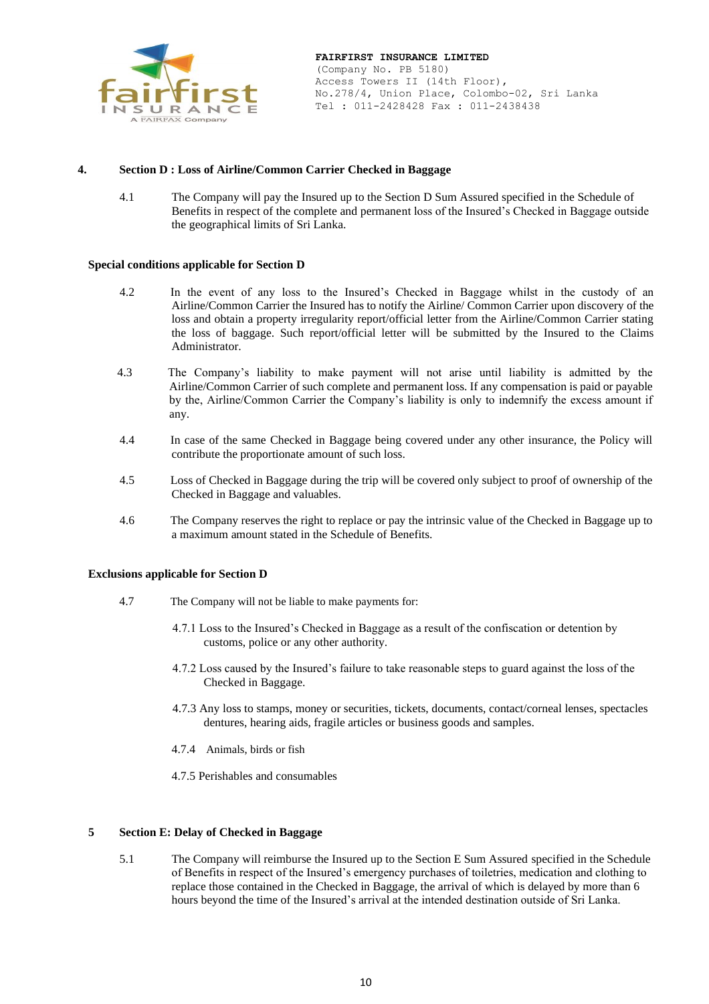

#### **4. Section D : Loss of Airline/Common Carrier Checked in Baggage**

4.1 The Company will pay the Insured up to the Section D Sum Assured specified in the Schedule of Benefits in respect of the complete and permanent loss of the Insured's Checked in Baggage outside the geographical limits of Sri Lanka.

#### **Special conditions applicable for Section D**

- 4.2 In the event of any loss to the Insured's Checked in Baggage whilst in the custody of an Airline/Common Carrier the Insured has to notify the Airline/ Common Carrier upon discovery of the loss and obtain a property irregularity report/official letter from the Airline/Common Carrier stating the loss of baggage. Such report/official letter will be submitted by the Insured to the Claims Administrator.
- 4.3 The Company's liability to make payment will not arise until liability is admitted by the Airline/Common Carrier of such complete and permanent loss. If any compensation is paid or payable by the, Airline/Common Carrier the Company's liability is only to indemnify the excess amount if any.
- 4.4 In case of the same Checked in Baggage being covered under any other insurance, the Policy will contribute the proportionate amount of such loss.
- 4.5 Loss of Checked in Baggage during the trip will be covered only subject to proof of ownership of the Checked in Baggage and valuables.
- 4.6 The Company reserves the right to replace or pay the intrinsic value of the Checked in Baggage up to a maximum amount stated in the Schedule of Benefits.

#### **Exclusions applicable for Section D**

- 4.7 The Company will not be liable to make payments for:
	- 4.7.1 Loss to the Insured's Checked in Baggage as a result of the confiscation or detention by customs, police or any other authority.
	- 4.7.2 Loss caused by the Insured's failure to take reasonable steps to guard against the loss of the Checked in Baggage.
	- 4.7.3 Any loss to stamps, money or securities, tickets, documents, contact/corneal lenses, spectacles dentures, hearing aids, fragile articles or business goods and samples.
	- 4.7.4 Animals, birds or fish
	- 4.7.5 Perishables and consumables

#### **5 Section E: Delay of Checked in Baggage**

5.1 The Company will reimburse the Insured up to the Section E Sum Assured specified in the Schedule of Benefits in respect of the Insured's emergency purchases of toiletries, medication and clothing to replace those contained in the Checked in Baggage, the arrival of which is delayed by more than 6 hours beyond the time of the Insured's arrival at the intended destination outside of Sri Lanka.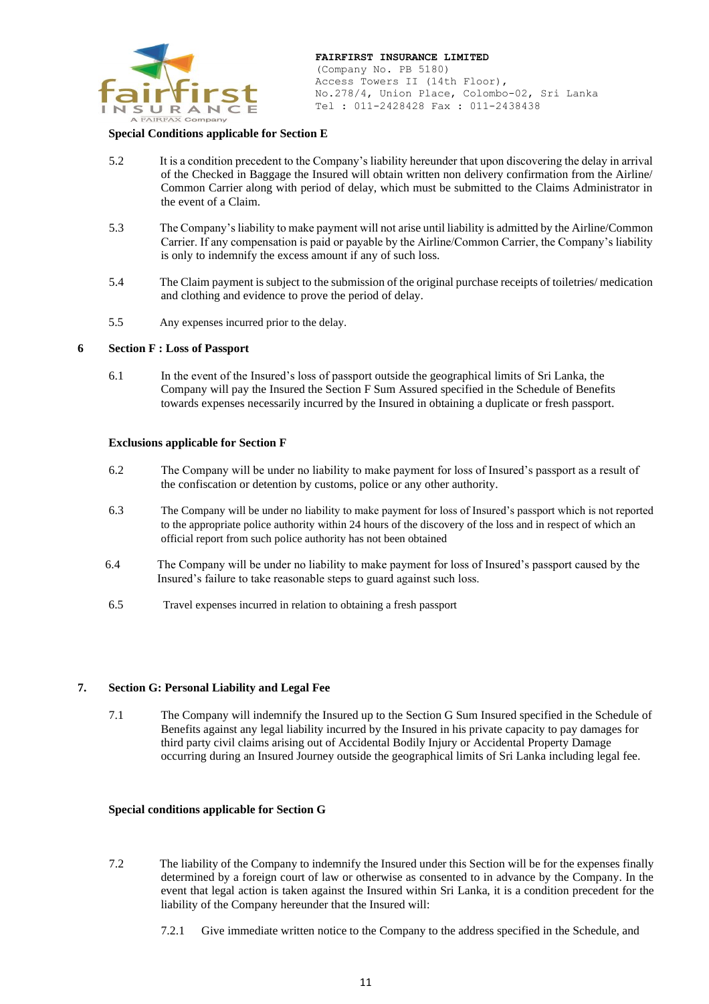

#### **Special Conditions applicable for Section E**

- 5.2 It is a condition precedent to the Company's liability hereunder that upon discovering the delay in arrival of the Checked in Baggage the Insured will obtain written non delivery confirmation from the Airline/ Common Carrier along with period of delay, which must be submitted to the Claims Administrator in the event of a Claim.
- 5.3 The Company's liability to make payment will not arise until liability is admitted by the Airline/Common Carrier. If any compensation is paid or payable by the Airline/Common Carrier, the Company's liability is only to indemnify the excess amount if any of such loss.
- 5.4 The Claim payment is subject to the submission of the original purchase receipts of toiletries/ medication and clothing and evidence to prove the period of delay.
- 5.5 Any expenses incurred prior to the delay.

#### **6 Section F : Loss of Passport**

6.1 In the event of the Insured's loss of passport outside the geographical limits of Sri Lanka, the Company will pay the Insured the Section F Sum Assured specified in the Schedule of Benefits towards expenses necessarily incurred by the Insured in obtaining a duplicate or fresh passport.

#### **Exclusions applicable for Section F**

- 6.2 The Company will be under no liability to make payment for loss of Insured's passport as a result of the confiscation or detention by customs, police or any other authority.
- 6.3 The Company will be under no liability to make payment for loss of Insured's passport which is not reported to the appropriate police authority within 24 hours of the discovery of the loss and in respect of which an official report from such police authority has not been obtained
- 6.4 The Company will be under no liability to make payment for loss of Insured's passport caused by the Insured's failure to take reasonable steps to guard against such loss.
- 6.5 Travel expenses incurred in relation to obtaining a fresh passport

#### **7. Section G: Personal Liability and Legal Fee**

7.1 The Company will indemnify the Insured up to the Section G Sum Insured specified in the Schedule of Benefits against any legal liability incurred by the Insured in his private capacity to pay damages for third party civil claims arising out of Accidental Bodily Injury or Accidental Property Damage occurring during an Insured Journey outside the geographical limits of Sri Lanka including legal fee.

#### **Special conditions applicable for Section G**

- 7.2 The liability of the Company to indemnify the Insured under this Section will be for the expenses finally determined by a foreign court of law or otherwise as consented to in advance by the Company. In the event that legal action is taken against the Insured within Sri Lanka, it is a condition precedent for the liability of the Company hereunder that the Insured will:
	- 7.2.1 Give immediate written notice to the Company to the address specified in the Schedule, and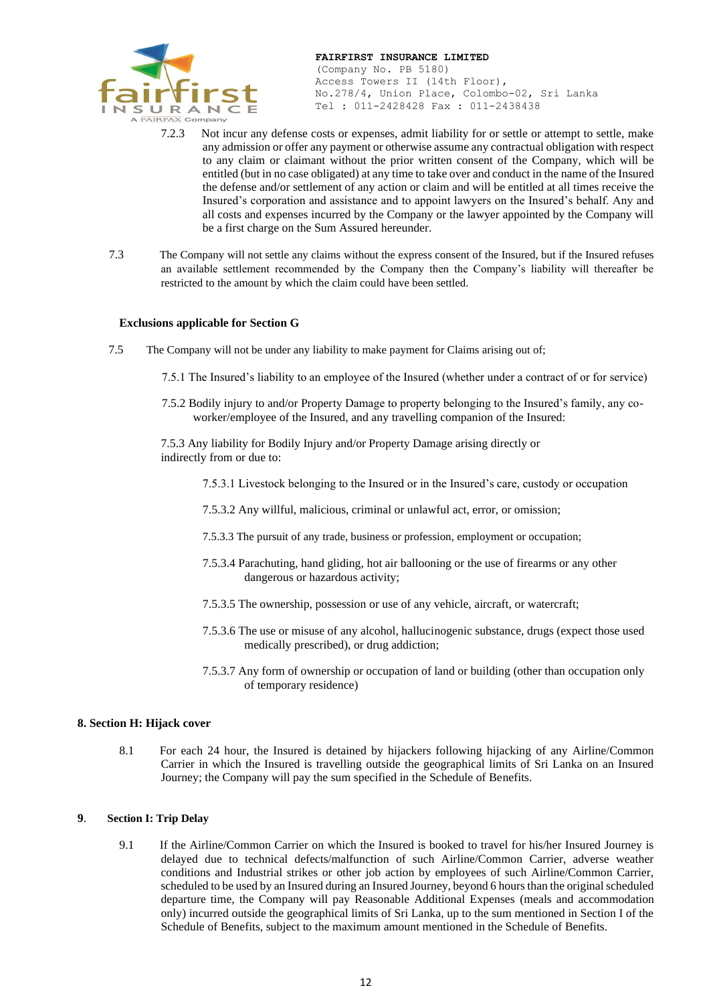

(Company No. PB 5180) Access Towers II (14th Floor), No.278/4, Union Place, Colombo-02, Sri Lanka Tel : 011-2428428 Fax : 011-2438438

- 7.2.3 Not incur any defense costs or expenses, admit liability for or settle or attempt to settle, make any admission or offer any payment or otherwise assume any contractual obligation with respect to any claim or claimant without the prior written consent of the Company, which will be entitled (but in no case obligated) at any time to take over and conduct in the name of the Insured the defense and/or settlement of any action or claim and will be entitled at all times receive the Insured's corporation and assistance and to appoint lawyers on the Insured's behalf. Any and all costs and expenses incurred by the Company or the lawyer appointed by the Company will be a first charge on the Sum Assured hereunder.
- 7.3 The Company will not settle any claims without the express consent of the Insured, but if the Insured refuses an available settlement recommended by the Company then the Company's liability will thereafter be restricted to the amount by which the claim could have been settled.

#### **Exclusions applicable for Section G**

- 7.5 The Company will not be under any liability to make payment for Claims arising out of;
	- 7.5.1 The Insured's liability to an employee of the Insured (whether under a contract of or for service)
	- 7.5.2 Bodily injury to and/or Property Damage to property belonging to the Insured's family, any coworker/employee of the Insured, and any travelling companion of the Insured:

7.5.3 Any liability for Bodily Injury and/or Property Damage arising directly or indirectly from or due to:

- 7.5.3.1 Livestock belonging to the Insured or in the Insured's care, custody or occupation
- 7.5.3.2 Any willful, malicious, criminal or unlawful act, error, or omission;
- 7.5.3.3 The pursuit of any trade, business or profession, employment or occupation;
- 7.5.3.4 Parachuting, hand gliding, hot air ballooning or the use of firearms or any other dangerous or hazardous activity;
- 7.5.3.5 The ownership, possession or use of any vehicle, aircraft, or watercraft;
- 7.5.3.6 The use or misuse of any alcohol, hallucinogenic substance, drugs (expect those used medically prescribed), or drug addiction;
- 7.5.3.7 Any form of ownership or occupation of land or building (other than occupation only of temporary residence)

#### **8. Section H: Hijack cover**

8.1 For each 24 hour, the Insured is detained by hijackers following hijacking of any Airline/Common Carrier in which the Insured is travelling outside the geographical limits of Sri Lanka on an Insured Journey; the Company will pay the sum specified in the Schedule of Benefits.

#### **9**. **Section I: Trip Delay**

9.1 If the Airline/Common Carrier on which the Insured is booked to travel for his/her Insured Journey is delayed due to technical defects/malfunction of such Airline/Common Carrier, adverse weather conditions and Industrial strikes or other job action by employees of such Airline/Common Carrier, scheduled to be used by an Insured during an Insured Journey, beyond 6 hours than the original scheduled departure time, the Company will pay Reasonable Additional Expenses (meals and accommodation only) incurred outside the geographical limits of Sri Lanka, up to the sum mentioned in Section I of the Schedule of Benefits, subject to the maximum amount mentioned in the Schedule of Benefits.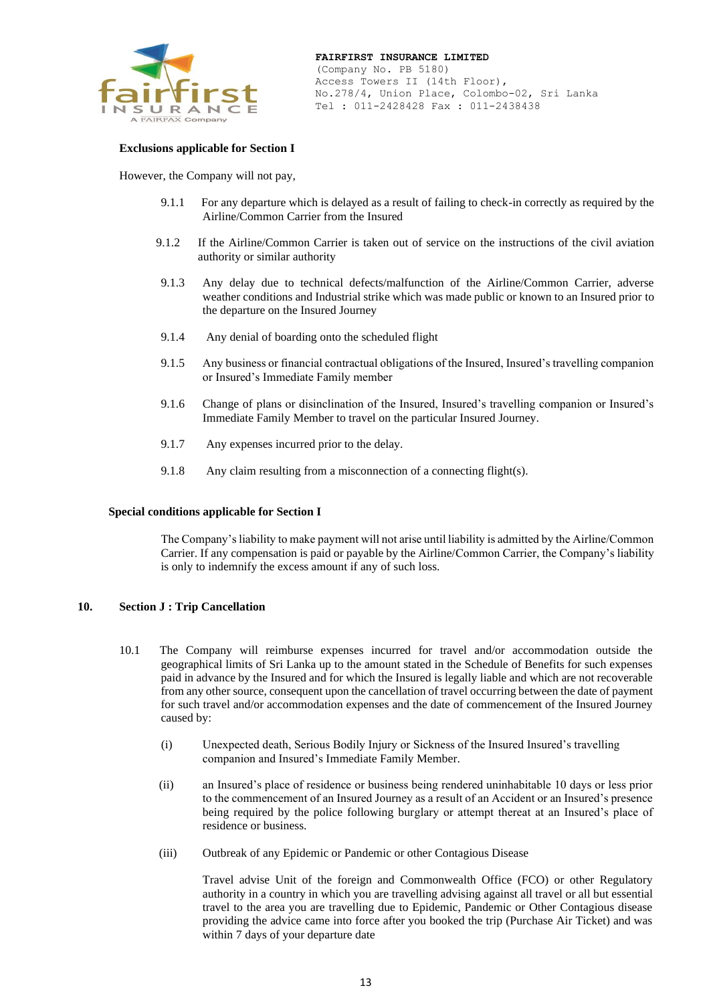

#### **Exclusions applicable for Section I**

However, the Company will not pay,

- 9.1.1 For any departure which is delayed as a result of failing to check-in correctly as required by the Airline/Common Carrier from the Insured
- 9.1.2 If the Airline/Common Carrier is taken out of service on the instructions of the civil aviation authority or similar authority
- 9.1.3 Any delay due to technical defects/malfunction of the Airline/Common Carrier, adverse weather conditions and Industrial strike which was made public or known to an Insured prior to the departure on the Insured Journey
- 9.1.4 Any denial of boarding onto the scheduled flight
- 9.1.5 Any business or financial contractual obligations of the Insured, Insured's travelling companion or Insured's Immediate Family member
- 9.1.6 Change of plans or disinclination of the Insured, Insured's travelling companion or Insured's Immediate Family Member to travel on the particular Insured Journey.
- 9.1.7 Any expenses incurred prior to the delay.
- 9.1.8 Any claim resulting from a misconnection of a connecting flight(s).

#### **Special conditions applicable for Section I**

The Company's liability to make payment will not arise until liability is admitted by the Airline/Common Carrier. If any compensation is paid or payable by the Airline/Common Carrier, the Company's liability is only to indemnify the excess amount if any of such loss.

#### **10. Section J : Trip Cancellation**

- 10.1 The Company will reimburse expenses incurred for travel and/or accommodation outside the geographical limits of Sri Lanka up to the amount stated in the Schedule of Benefits for such expenses paid in advance by the Insured and for which the Insured is legally liable and which are not recoverable from any other source, consequent upon the cancellation of travel occurring between the date of payment for such travel and/or accommodation expenses and the date of commencement of the Insured Journey caused by:
	- (i) Unexpected death, Serious Bodily Injury or Sickness of the Insured Insured's travelling companion and Insured's Immediate Family Member.
	- (ii) an Insured's place of residence or business being rendered uninhabitable 10 days or less prior to the commencement of an Insured Journey as a result of an Accident or an Insured's presence being required by the police following burglary or attempt thereat at an Insured's place of residence or business.
	- (iii) Outbreak of any Epidemic or Pandemic or other Contagious Disease

Travel advise Unit of the foreign and Commonwealth Office (FCO) or other Regulatory authority in a country in which you are travelling advising against all travel or all but essential travel to the area you are travelling due to Epidemic, Pandemic or Other Contagious disease providing the advice came into force after you booked the trip (Purchase Air Ticket) and was within 7 days of your departure date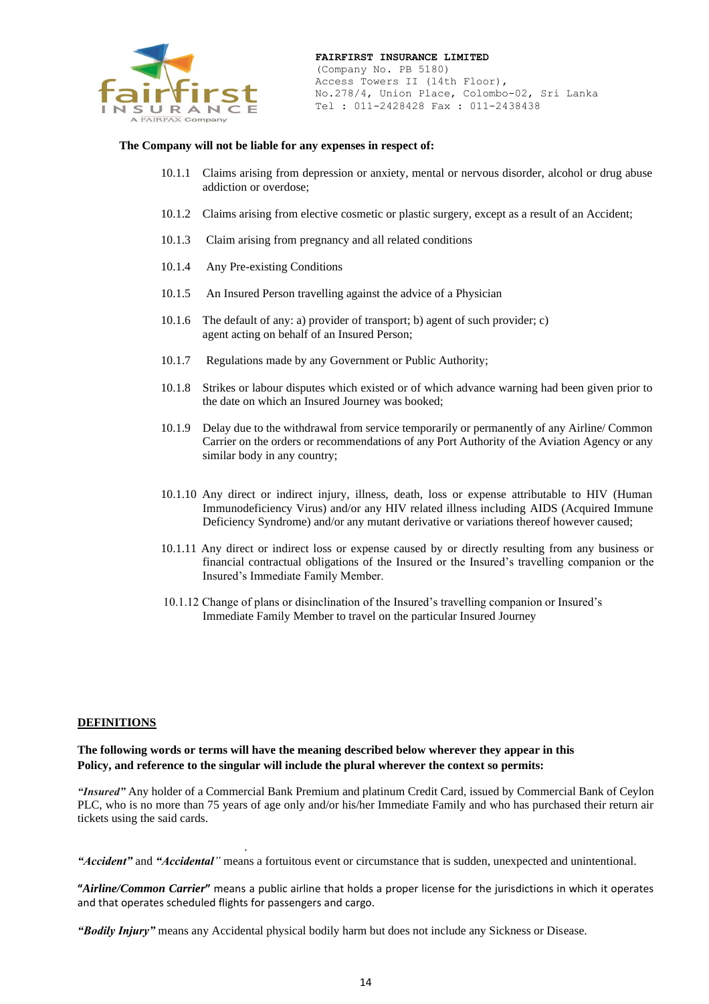

#### **The Company will not be liable for any expenses in respect of:**

- 10.1.1 Claims arising from depression or anxiety, mental or nervous disorder, alcohol or drug abuse addiction or overdose;
- 10.1.2 Claims arising from elective cosmetic or plastic surgery, except as a result of an Accident;
- 10.1.3 Claim arising from pregnancy and all related conditions
- 10.1.4 Any Pre-existing Conditions
- 10.1.5 An Insured Person travelling against the advice of a Physician
- 10.1.6 The default of any: a) provider of transport; b) agent of such provider; c) agent acting on behalf of an Insured Person;
- 10.1.7 Regulations made by any Government or Public Authority;
- 10.1.8 Strikes or labour disputes which existed or of which advance warning had been given prior to the date on which an Insured Journey was booked;
- 10.1.9 Delay due to the withdrawal from service temporarily or permanently of any Airline/ Common Carrier on the orders or recommendations of any Port Authority of the Aviation Agency or any similar body in any country;
- 10.1.10 Any direct or indirect injury, illness, death, loss or expense attributable to HIV (Human Immunodeficiency Virus) and/or any HIV related illness including AIDS (Acquired Immune Deficiency Syndrome) and/or any mutant derivative or variations thereof however caused;
- 10.1.11 Any direct or indirect loss or expense caused by or directly resulting from any business or financial contractual obligations of the Insured or the Insured's travelling companion or the Insured's Immediate Family Member.
- 10.1.12 Change of plans or disinclination of the Insured's travelling companion or Insured's Immediate Family Member to travel on the particular Insured Journey

#### **DEFINITIONS**

**The following words or terms will have the meaning described below wherever they appear in this Policy, and reference to the singular will include the plural wherever the context so permits:**

.

*"Insured"* Any holder of a Commercial Bank Premium and platinum Credit Card, issued by Commercial Bank of Ceylon PLC, who is no more than 75 years of age only and/or his/her Immediate Family and who has purchased their return air tickets using the said cards.

*"Accident"* and *"Accidental"* means a fortuitous event or circumstance that is sudden, unexpected and unintentional.

**"***Airline/Common Carrier***"** means a public airline that holds a proper license for the jurisdictions in which it operates and that operates scheduled flights for passengers and cargo.

*"Bodily Injury"* means any Accidental physical bodily harm but does not include any Sickness or Disease.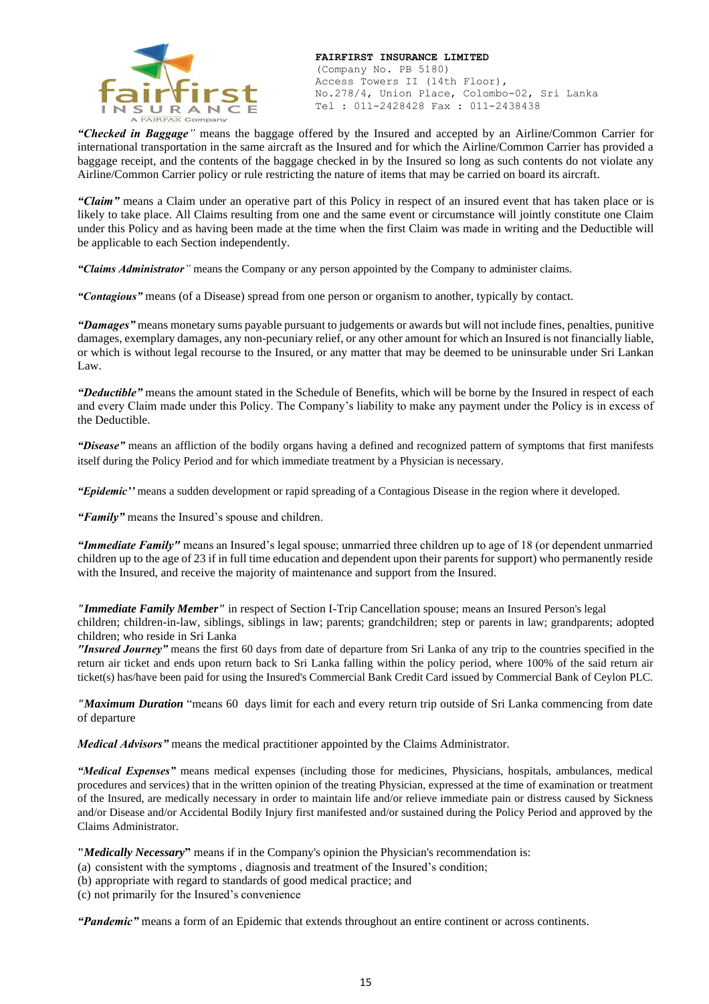

(Company No. PB 5180) Access Towers II (14th Floor), No.278/4, Union Place, Colombo-02, Sri Lanka Tel : 011-2428428 Fax : 011-2438438

*"Checked in Baggage"* means the baggage offered by the Insured and accepted by an Airline/Common Carrier for international transportation in the same aircraft as the Insured and for which the Airline/Common Carrier has provided a baggage receipt, and the contents of the baggage checked in by the Insured so long as such contents do not violate any Airline/Common Carrier policy or rule restricting the nature of items that may be carried on board its aircraft.

*"Claim"* means a Claim under an operative part of this Policy in respect of an insured event that has taken place or is likely to take place. All Claims resulting from one and the same event or circumstance will jointly constitute one Claim under this Policy and as having been made at the time when the first Claim was made in writing and the Deductible will be applicable to each Section independently.

*"Claims Administrator"* means the Company or any person appointed by the Company to administer claims.

*"Contagious"* means (of a Disease) spread from one person or organism to another, typically by contact.

*"Damages"* means monetary sums payable pursuant to judgements or awards but will not include fines, penalties, punitive damages, exemplary damages, any non-pecuniary relief, or any other amount for which an Insured is not financially liable, or which is without legal recourse to the Insured, or any matter that may be deemed to be uninsurable under Sri Lankan Law.

*"Deductible"* means the amount stated in the Schedule of Benefits, which will be borne by the Insured in respect of each and every Claim made under this Policy. The Company's liability to make any payment under the Policy is in excess of the Deductible.

*"Disease"* means an affliction of the bodily organs having a defined and recognized pattern of symptoms that first manifests itself during the Policy Period and for which immediate treatment by a Physician is necessary.

*"Epidemic''* means a sudden development or rapid spreading of a Contagious Disease in the region where it developed.

*"Family"* means the Insured's spouse and children.

*"Immediate Family"* means an Insured's legal spouse; unmarried three children up to age of 18 (or dependent unmarried children up to the age of 23 if in full time education and dependent upon their parents for support) who permanently reside with the Insured, and receive the majority of maintenance and support from the Insured.

*"Immediate Family Member"* in respect of Section I-Trip Cancellation spouse; means an Insured Person's legal

children; children-in-law, siblings, siblings in law; parents; grandchildren; step or parents in law; grandparents; adopted children; who reside in Sri Lanka

*"Insured Journey"* means the first 60 days from date of departure from Sri Lanka of any trip to the countries specified in the return air ticket and ends upon return back to Sri Lanka falling within the policy period, where 100% of the said return air ticket(s) has/have been paid for using the Insured's Commercial Bank Credit Card issued by Commercial Bank of Ceylon PLC.

*"Maximum Duration* "means 60 days limit for each and every return trip outside of Sri Lanka commencing from date of departure

*Medical Advisors"* means the medical practitioner appointed by the Claims Administrator.

*"Medical Expenses"* means medical expenses (including those for medicines, Physicians, hospitals, ambulances, medical procedures and services) that in the written opinion of the treating Physician, expressed at the time of examination or treatment of the Insured, are medically necessary in order to maintain life and/or relieve immediate pain or distress caused by Sickness and/or Disease and/or Accidental Bodily Injury first manifested and/or sustained during the Policy Period and approved by the Claims Administrator.

**"***Medically Necessary***"** means if in the Company's opinion the Physician's recommendation is:

(a) consistent with the symptoms , diagnosis and treatment of the Insured's condition;

(b) appropriate with regard to standards of good medical practice; and

(c) not primarily for the Insured's convenience

*"Pandemic"* means a form of an Epidemic that extends throughout an entire continent or across continents.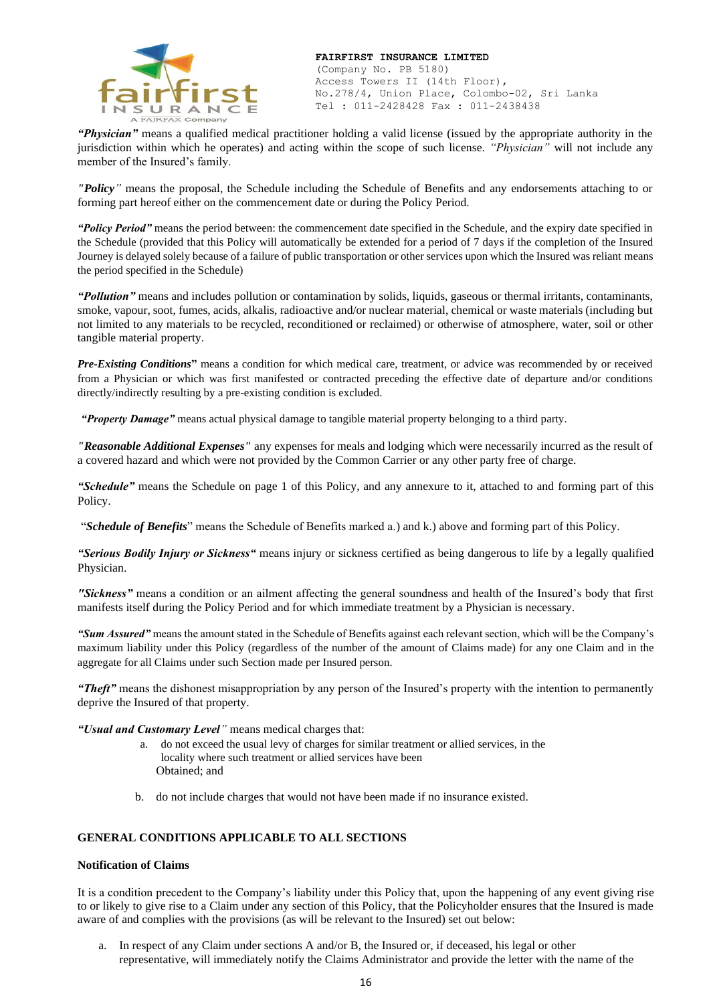

(Company No. PB 5180) Access Towers II (14th Floor), No.278/4, Union Place, Colombo-02, Sri Lanka Tel : 011-2428428 Fax : 011-2438438

*"Physician"* means a qualified medical practitioner holding a valid license (issued by the appropriate authority in the jurisdiction within which he operates) and acting within the scope of such license. *"Physician"* will not include any member of the Insured's family.

*"Policy"* means the proposal, the Schedule including the Schedule of Benefits and any endorsements attaching to or forming part hereof either on the commencement date or during the Policy Period.

*"Policy Period"* means the period between: the commencement date specified in the Schedule, and the expiry date specified in the Schedule (provided that this Policy will automatically be extended for a period of 7 days if the completion of the Insured Journey is delayed solely because of a failure of public transportation or other services upon which the Insured was reliant means the period specified in the Schedule)

*"Pollution"* means and includes pollution or contamination by solids, liquids, gaseous or thermal irritants, contaminants, smoke, vapour, soot, fumes, acids, alkalis, radioactive and/or nuclear material, chemical or waste materials (including but not limited to any materials to be recycled, reconditioned or reclaimed) or otherwise of atmosphere, water, soil or other tangible material property.

*Pre-Existing Conditions* means a condition for which medical care, treatment, or advice was recommended by or received from a Physician or which was first manifested or contracted preceding the effective date of departure and/or conditions directly/indirectly resulting by a pre-existing condition is excluded.

*"Property Damage"* means actual physical damage to tangible material property belonging to a third party.

*"Reasonable Additional Expenses"* any expenses for meals and lodging which were necessarily incurred as the result of a covered hazard and which were not provided by the Common Carrier or any other party free of charge.

*"Schedule"* means the Schedule on page 1 of this Policy, and any annexure to it, attached to and forming part of this Policy.

"*Schedule of Benefits*" means the Schedule of Benefits marked a.) and k.) above and forming part of this Policy.

*"Serious Bodily Injury or Sickness"* means injury or sickness certified as being dangerous to life by a legally qualified Physician.

*"Sickness"* means a condition or an ailment affecting the general soundness and health of the Insured's body that first manifests itself during the Policy Period and for which immediate treatment by a Physician is necessary.

*"Sum Assured"* means the amount stated in the Schedule of Benefits against each relevant section, which will be the Company's maximum liability under this Policy (regardless of the number of the amount of Claims made) for any one Claim and in the aggregate for all Claims under such Section made per Insured person.

*"Theft"* means the dishonest misappropriation by any person of the Insured's property with the intention to permanently deprive the Insured of that property.

#### *"Usual and Customary Level"* means medical charges that:

- a. do not exceed the usual levy of charges for similar treatment or allied services, in the locality where such treatment or allied services have been Obtained; and
- b. do not include charges that would not have been made if no insurance existed.

### **GENERAL CONDITIONS APPLICABLE TO ALL SECTIONS**

#### **Notification of Claims**

It is a condition precedent to the Company's liability under this Policy that, upon the happening of any event giving rise to or likely to give rise to a Claim under any section of this Policy, that the Policyholder ensures that the Insured is made aware of and complies with the provisions (as will be relevant to the Insured) set out below:

a. In respect of any Claim under sections A and/or B, the Insured or, if deceased, his legal or other representative, will immediately notify the Claims Administrator and provide the letter with the name of the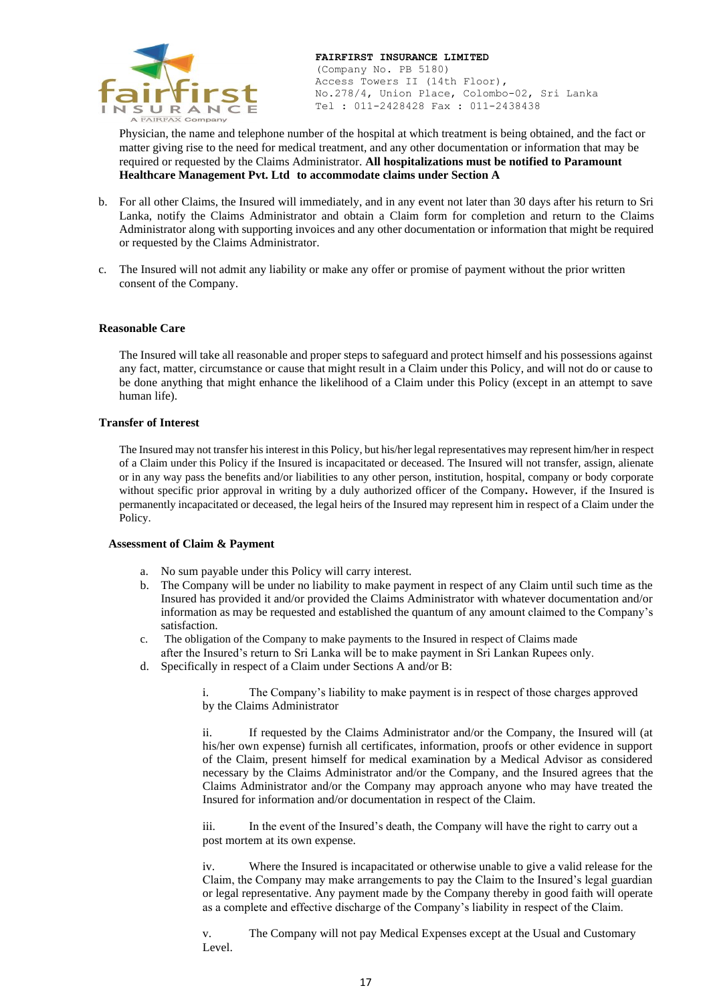

Physician, the name and telephone number of the hospital at which treatment is being obtained, and the fact or matter giving rise to the need for medical treatment, and any other documentation or information that may be required or requested by the Claims Administrator. **All hospitalizations must be notified to Paramount Healthcare Management Pvt. Ltd to accommodate claims under Section A**

- b. For all other Claims, the Insured will immediately, and in any event not later than 30 days after his return to Sri Lanka, notify the Claims Administrator and obtain a Claim form for completion and return to the Claims Administrator along with supporting invoices and any other documentation or information that might be required or requested by the Claims Administrator.
- c. The Insured will not admit any liability or make any offer or promise of payment without the prior written consent of the Company.

#### **Reasonable Care**

The Insured will take all reasonable and proper steps to safeguard and protect himself and his possessions against any fact, matter, circumstance or cause that might result in a Claim under this Policy, and will not do or cause to be done anything that might enhance the likelihood of a Claim under this Policy (except in an attempt to save human life).

#### **Transfer of Interest**

The Insured may not transfer his interest in this Policy, but his/her legal representatives may represent him/her in respect of a Claim under this Policy if the Insured is incapacitated or deceased. The Insured will not transfer, assign, alienate or in any way pass the benefits and/or liabilities to any other person, institution, hospital, company or body corporate without specific prior approval in writing by a duly authorized officer of the Company*.* However, if the Insured is permanently incapacitated or deceased, the legal heirs of the Insured may represent him in respect of a Claim under the Policy.

#### **Assessment of Claim & Payment**

- a. No sum payable under this Policy will carry interest.
- b. The Company will be under no liability to make payment in respect of any Claim until such time as the Insured has provided it and/or provided the Claims Administrator with whatever documentation and/or information as may be requested and established the quantum of any amount claimed to the Company's satisfaction.
- c. The obligation of the Company to make payments to the Insured in respect of Claims made after the Insured's return to Sri Lanka will be to make payment in Sri Lankan Rupees only.
- d. Specifically in respect of a Claim under Sections A and/or B:

i. The Company's liability to make payment is in respect of those charges approved by the Claims Administrator

ii. If requested by the Claims Administrator and/or the Company, the Insured will (at his/her own expense) furnish all certificates, information, proofs or other evidence in support of the Claim, present himself for medical examination by a Medical Advisor as considered necessary by the Claims Administrator and/or the Company, and the Insured agrees that the Claims Administrator and/or the Company may approach anyone who may have treated the Insured for information and/or documentation in respect of the Claim.

iii. In the event of the Insured's death, the Company will have the right to carry out a post mortem at its own expense.

iv. Where the Insured is incapacitated or otherwise unable to give a valid release for the Claim, the Company may make arrangements to pay the Claim to the Insured's legal guardian or legal representative. Any payment made by the Company thereby in good faith will operate as a complete and effective discharge of the Company's liability in respect of the Claim.

v. The Company will not pay Medical Expenses except at the Usual and Customary Level.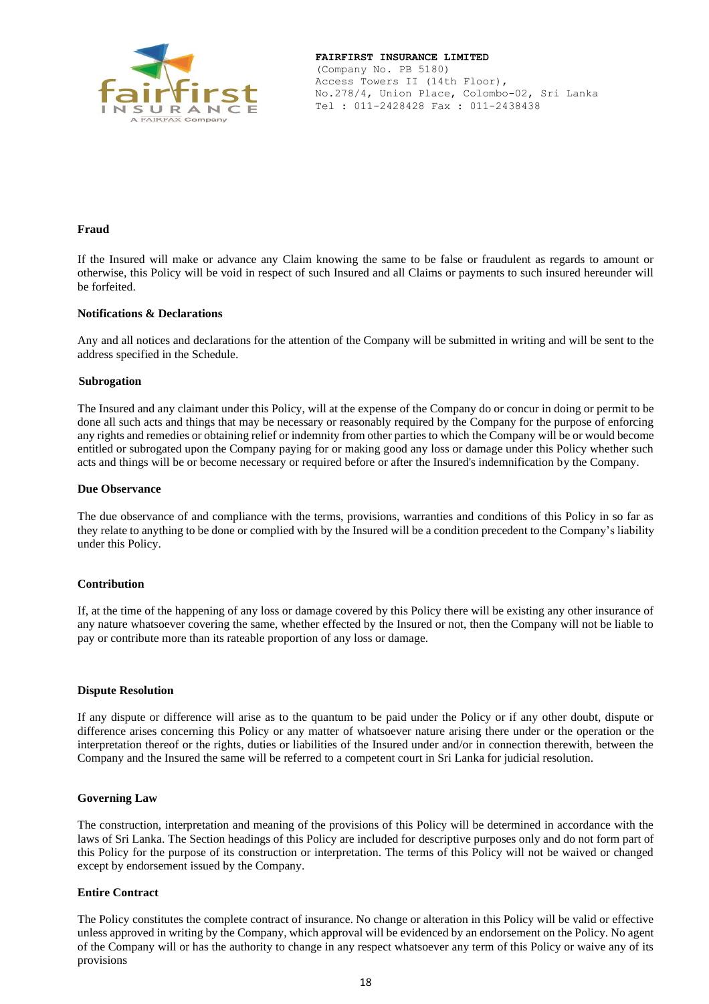

#### **Fraud**

If the Insured will make or advance any Claim knowing the same to be false or fraudulent as regards to amount or otherwise, this Policy will be void in respect of such Insured and all Claims or payments to such insured hereunder will be forfeited.

#### **Notifications & Declarations**

Any and all notices and declarations for the attention of the Company will be submitted in writing and will be sent to the address specified in the Schedule.

#### **Subrogation**

The Insured and any claimant under this Policy, will at the expense of the Company do or concur in doing or permit to be done all such acts and things that may be necessary or reasonably required by the Company for the purpose of enforcing any rights and remedies or obtaining relief or indemnity from other parties to which the Company will be or would become entitled or subrogated upon the Company paying for or making good any loss or damage under this Policy whether such acts and things will be or become necessary or required before or after the Insured's indemnification by the Company.

#### **Due Observance**

The due observance of and compliance with the terms, provisions, warranties and conditions of this Policy in so far as they relate to anything to be done or complied with by the Insured will be a condition precedent to the Company's liability under this Policy.

#### **Contribution**

If, at the time of the happening of any loss or damage covered by this Policy there will be existing any other insurance of any nature whatsoever covering the same, whether effected by the Insured or not, then the Company will not be liable to pay or contribute more than its rateable proportion of any loss or damage.

#### **Dispute Resolution**

If any dispute or difference will arise as to the quantum to be paid under the Policy or if any other doubt, dispute or difference arises concerning this Policy or any matter of whatsoever nature arising there under or the operation or the interpretation thereof or the rights, duties or liabilities of the Insured under and/or in connection therewith, between the Company and the Insured the same will be referred to a competent court in Sri Lanka for judicial resolution.

#### **Governing Law**

The construction, interpretation and meaning of the provisions of this Policy will be determined in accordance with the laws of Sri Lanka. The Section headings of this Policy are included for descriptive purposes only and do not form part of this Policy for the purpose of its construction or interpretation. The terms of this Policy will not be waived or changed except by endorsement issued by the Company.

#### **Entire Contract**

The Policy constitutes the complete contract of insurance. No change or alteration in this Policy will be valid or effective unless approved in writing by the Company, which approval will be evidenced by an endorsement on the Policy. No agent of the Company will or has the authority to change in any respect whatsoever any term of this Policy or waive any of its provisions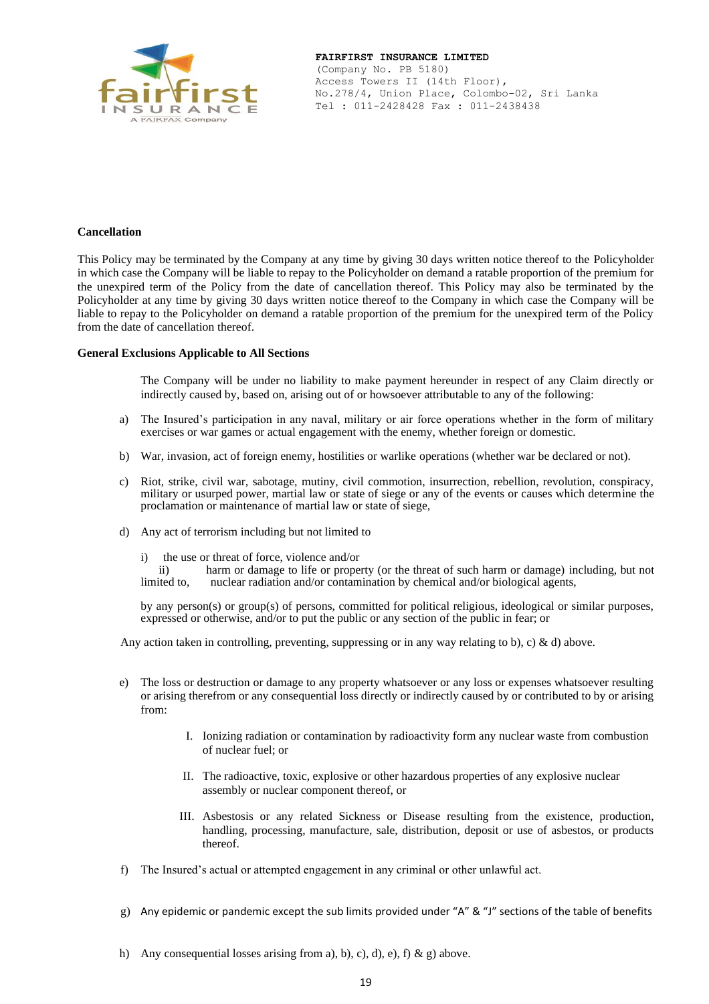

#### **FAIRFIRST INSURANCE LIMITED**  (Company No. PB 5180)

Access Towers II (14th Floor), No.278/4, Union Place, Colombo-02, Sri Lanka Tel : 011-2428428 Fax : 011-2438438

#### **Cancellation**

This Policy may be terminated by the Company at any time by giving 30 days written notice thereof to the Policyholder in which case the Company will be liable to repay to the Policyholder on demand a ratable proportion of the premium for the unexpired term of the Policy from the date of cancellation thereof. This Policy may also be terminated by the Policyholder at any time by giving 30 days written notice thereof to the Company in which case the Company will be liable to repay to the Policyholder on demand a ratable proportion of the premium for the unexpired term of the Policy from the date of cancellation thereof.

#### **General Exclusions Applicable to All Sections**

The Company will be under no liability to make payment hereunder in respect of any Claim directly or indirectly caused by, based on, arising out of or howsoever attributable to any of the following:

- a) The Insured's participation in any naval, military or air force operations whether in the form of military exercises or war games or actual engagement with the enemy, whether foreign or domestic.
- b) War, invasion, act of foreign enemy, hostilities or warlike operations (whether war be declared or not).
- c) Riot, strike, civil war, sabotage, mutiny, civil commotion, insurrection, rebellion, revolution, conspiracy, military or usurped power, martial law or state of siege or any of the events or causes which determine the proclamation or maintenance of martial law or state of siege,
- d) Any act of terrorism including but not limited to
	- i) the use or threat of force, violence and/or<br>ii) harm or damage to life or prope

harm or damage to life or property (or the threat of such harm or damage) including, but not limited to, nuclear radiation and/or contamination by chemical and/or biological agents,

by any person(s) or group(s) of persons, committed for political religious, ideological or similar purposes, expressed or otherwise, and/or to put the public or any section of the public in fear; or

Any action taken in controlling, preventing, suppressing or in any way relating to b), c) & d) above.

- e) The loss or destruction or damage to any property whatsoever or any loss or expenses whatsoever resulting or arising therefrom or any consequential loss directly or indirectly caused by or contributed to by or arising from:
	- I. Ionizing radiation or contamination by radioactivity form any nuclear waste from combustion of nuclear fuel; or
	- II. The radioactive, toxic, explosive or other hazardous properties of any explosive nuclear assembly or nuclear component thereof, or
	- III. Asbestosis or any related Sickness or Disease resulting from the existence, production, handling, processing, manufacture, sale, distribution, deposit or use of asbestos, or products thereof.
- f) The Insured's actual or attempted engagement in any criminal or other unlawful act.
- g) Any epidemic or pandemic except the sub limits provided under "A" & "J" sections of the table of benefits
- h) Any consequential losses arising from a), b), c), d), e), f) & g) above.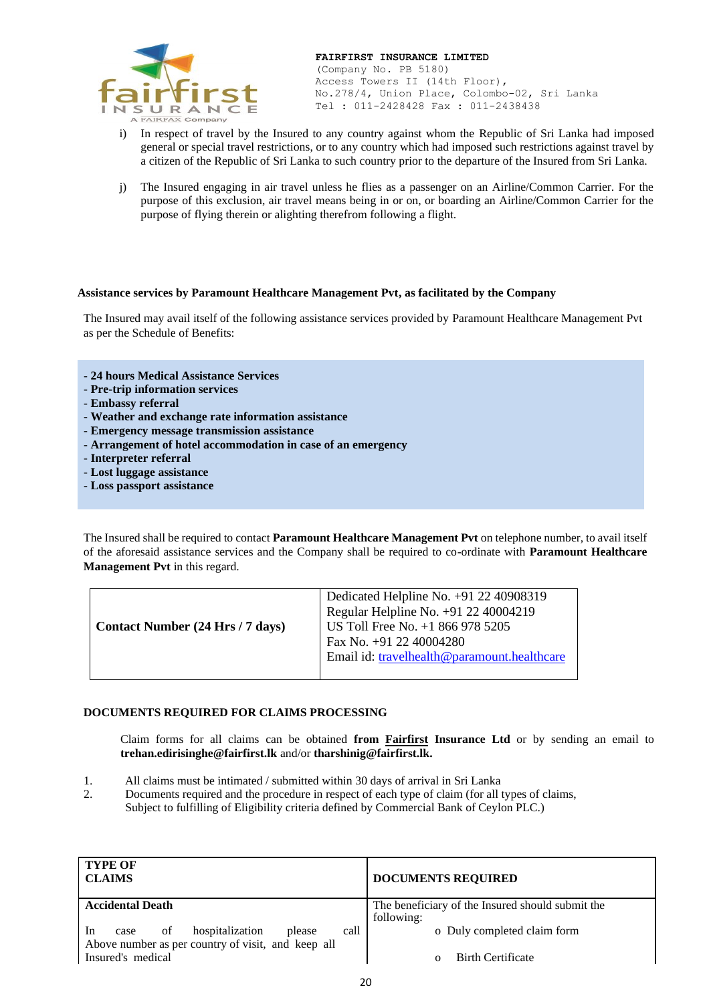

- i) In respect of travel by the Insured to any country against whom the Republic of Sri Lanka had imposed general or special travel restrictions, or to any country which had imposed such restrictions against travel by a citizen of the Republic of Sri Lanka to such country prior to the departure of the Insured from Sri Lanka.
- j) The Insured engaging in air travel unless he flies as a passenger on an Airline/Common Carrier. For the purpose of this exclusion, air travel means being in or on, or boarding an Airline/Common Carrier for the purpose of flying therein or alighting therefrom following a flight.

#### **Assistance services by Paramount Healthcare Management Pvt, as facilitated by the Company**

The Insured may avail itself of the following assistance services provided by Paramount Healthcare Management Pvt as per the Schedule of Benefits:

- **24 hours Medical Assistance Services**
- **Pre-trip information services**
- **Embassy referral**
- **Weather and exchange rate information assistance**
- **Emergency message transmission assistance**
- **Arrangement of hotel accommodation in case of an emergency**
- **Interpreter referral**
- **Lost luggage assistance**
- **Loss passport assistance**

The Insured shall be required to contact **Paramount Healthcare Management Pvt** on telephone number, to avail itself of the aforesaid assistance services and the Company shall be required to co-ordinate with **Paramount Healthcare Management Pvt** in this regard.

| Contact Number (24 Hrs / 7 days) | Dedicated Helpline No. +91 22 40908319<br>Regular Helpline No. +91 22 40004219<br>US Toll Free No. +1 866 978 5205<br>Fax No. +91 22 40004280<br>Email id: travelhealth@paramount.healthcare |
|----------------------------------|----------------------------------------------------------------------------------------------------------------------------------------------------------------------------------------------|
|----------------------------------|----------------------------------------------------------------------------------------------------------------------------------------------------------------------------------------------|

#### **DOCUMENTS REQUIRED FOR CLAIMS PROCESSING**

Claim forms for all claims can be obtained **from Fairfirst Insurance Ltd** or by sending an email to **[trehan.edirisinghe@fairfirst.lk](mailto:trehan.edirisinghe@fairfirst.lk)** and/or **tharshinig@fairfirst.lk.**

- 1. All claims must be intimated / submitted within 30 days of arrival in Sri Lanka
- 2. Documents required and the procedure in respect of each type of claim (for all types of claims, Subject to fulfilling of Eligibility criteria defined by Commercial Bank of Ceylon PLC.)

| <b>TYPE OF</b><br><b>CLAIMS</b>                       | <b>DOCUMENTS REQUIRED</b>                        |
|-------------------------------------------------------|--------------------------------------------------|
| <b>Accidental Death</b>                               | The beneficiary of the Insured should submit the |
|                                                       | following:                                       |
| hospitalization<br>call<br>In<br>of<br>please<br>case | o Duly completed claim form                      |
| Above number as per country of visit, and keep all    |                                                  |
| Insured's medical                                     | <b>Birth Certificate</b><br>$\Omega$             |
|                                                       |                                                  |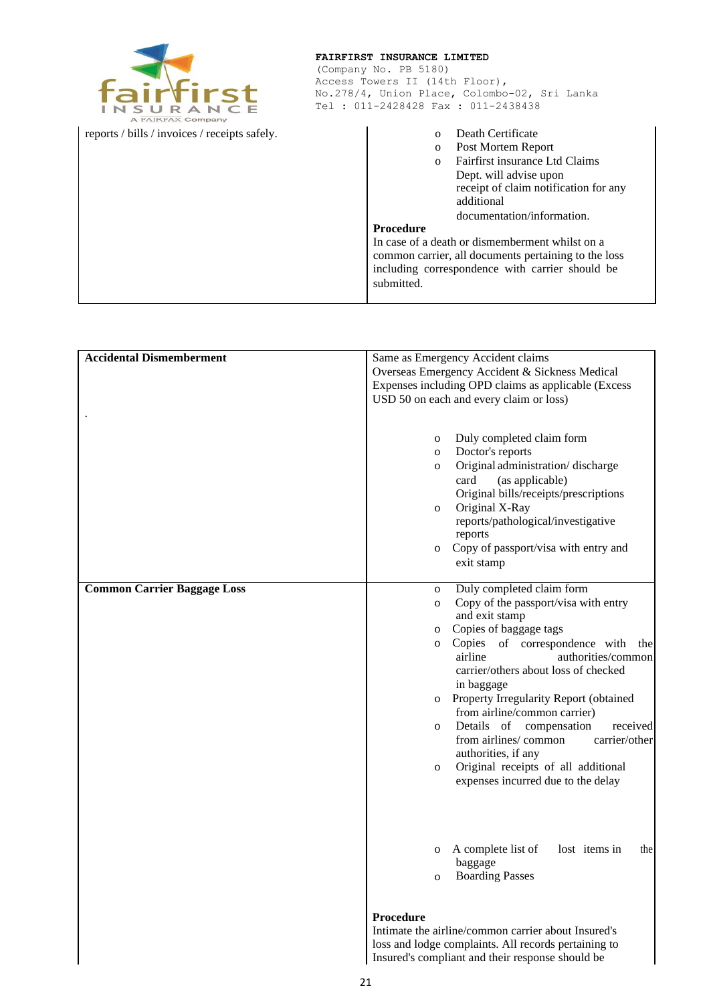| irtirst<br>A FAIRFAX Company                  | FAIRFIRST INSURANCE LIMITED<br>(Company No. PB 5180)<br>Access Towers II (14th Floor),<br>No.278/4, Union Place, Colombo-02, Sri Lanka<br>Tel: 011-2428428 Fax: 011-2438438 |                                                                                                                                                                                                                                                                                                                                                                                                                      |
|-----------------------------------------------|-----------------------------------------------------------------------------------------------------------------------------------------------------------------------------|----------------------------------------------------------------------------------------------------------------------------------------------------------------------------------------------------------------------------------------------------------------------------------------------------------------------------------------------------------------------------------------------------------------------|
| reports / bills / invoices / receipts safely. |                                                                                                                                                                             | Death Certificate<br>Post Mortem Report<br>$\mathbf{o}$<br>Fairfirst insurance Ltd Claims<br>$\Omega$<br>Dept. will advise upon<br>receipt of claim notification for any<br>additional<br>documentation/information.<br><b>Procedure</b><br>In case of a death or dismemberment whilst on a<br>common carrier, all documents pertaining to the loss<br>including correspondence with carrier should be<br>submitted. |

| <b>Accidental Dismemberment</b>    | Same as Emergency Accident claims                      |  |
|------------------------------------|--------------------------------------------------------|--|
|                                    | Overseas Emergency Accident & Sickness Medical         |  |
|                                    | Expenses including OPD claims as applicable (Excess    |  |
|                                    | USD 50 on each and every claim or loss)                |  |
|                                    |                                                        |  |
|                                    |                                                        |  |
|                                    | Duly completed claim form<br>$\mathbf 0$               |  |
|                                    | Doctor's reports<br>$\mathbf 0$                        |  |
|                                    | Original administration/discharge                      |  |
|                                    | $\mathbf 0$                                            |  |
|                                    | card<br>(as applicable)                                |  |
|                                    | Original bills/receipts/prescriptions                  |  |
|                                    | Original X-Ray<br>$\mathbf 0$                          |  |
|                                    | reports/pathological/investigative                     |  |
|                                    | reports                                                |  |
|                                    | Copy of passport/visa with entry and<br>0              |  |
|                                    | exit stamp                                             |  |
|                                    |                                                        |  |
| <b>Common Carrier Baggage Loss</b> | Duly completed claim form<br>$\mathbf{O}$              |  |
|                                    | Copy of the passport/visa with entry<br>$\mathbf{O}$   |  |
|                                    | and exit stamp                                         |  |
|                                    | Copies of baggage tags<br>$\mathbf 0$                  |  |
|                                    | Copies of correspondence with the<br>$\mathbf{O}$      |  |
|                                    | airline<br>authorities/common                          |  |
|                                    | carrier/others about loss of checked                   |  |
|                                    | in baggage                                             |  |
|                                    | Property Irregularity Report (obtained<br>$\mathbf{O}$ |  |
|                                    | from airline/common carrier)                           |  |
|                                    | Details of compensation<br>received<br>$\mathbf{O}$    |  |
|                                    | from airlines/common<br>carrier/other                  |  |
|                                    | authorities, if any                                    |  |
|                                    | Original receipts of all additional<br>$\mathbf{O}$    |  |
|                                    | expenses incurred due to the delay                     |  |
|                                    |                                                        |  |
|                                    |                                                        |  |
|                                    |                                                        |  |
|                                    |                                                        |  |
|                                    | A complete list of<br>lost items in<br>the<br>0        |  |
|                                    | baggage                                                |  |
|                                    | <b>Boarding Passes</b><br>$\mathbf{O}$                 |  |
|                                    |                                                        |  |
|                                    |                                                        |  |
|                                    | Procedure                                              |  |
|                                    | Intimate the airline/common carrier about Insured's    |  |
|                                    | loss and lodge complaints. All records pertaining to   |  |
|                                    | Insured's compliant and their response should be       |  |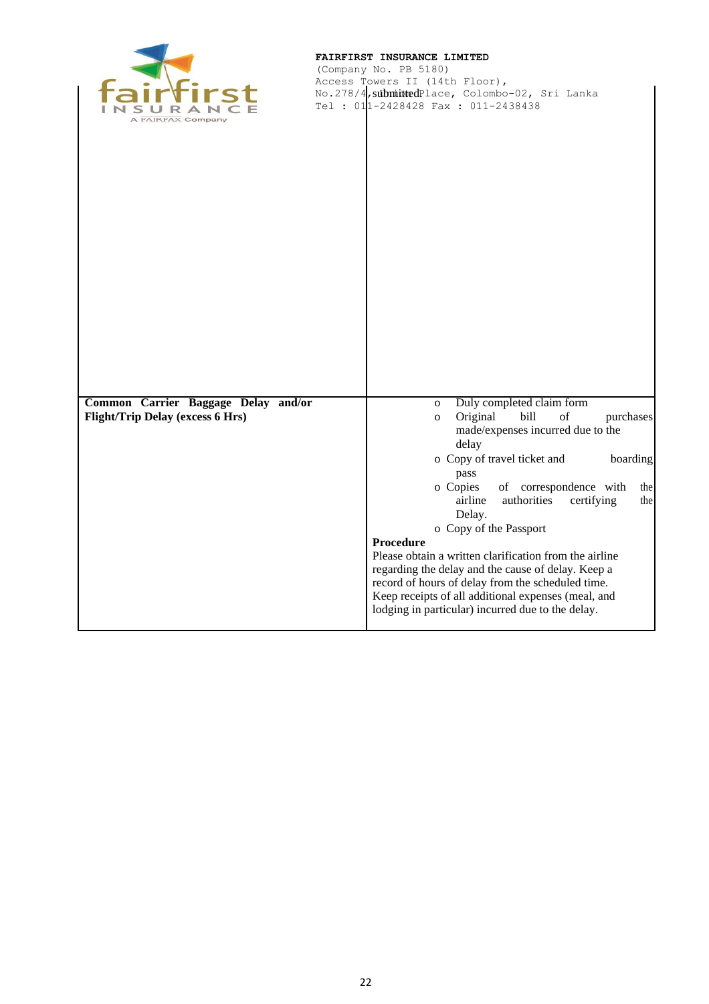

(Company No. PB 5180) Access Towers II (14th Floor), No.278/4<mark>,submitted</mark>Place, Colombo-02, Sri Lanka Tel : 011-2428428 Fax : 011-2438438 submitted.

| Common Carrier Baggage Delay and/or     | Duly completed claim form<br>$\mathbf{O}$                                                                                                          |
|-----------------------------------------|----------------------------------------------------------------------------------------------------------------------------------------------------|
| <b>Flight/Trip Delay (excess 6 Hrs)</b> | bill<br>$% \left( \left( \mathcal{A},\mathcal{A}\right) \right) =\left( \mathcal{A},\mathcal{A}\right)$ of<br>Original<br>purchases<br>$\mathbf O$ |
|                                         | made/expenses incurred due to the<br>delay                                                                                                         |
|                                         | o Copy of travel ticket and<br>boarding                                                                                                            |
|                                         | pass                                                                                                                                               |
|                                         | o Copies<br>of correspondence with<br>the<br>airline<br>authorities<br>certifying<br>the                                                           |
|                                         | Delay.                                                                                                                                             |
|                                         | o Copy of the Passport                                                                                                                             |
|                                         | Procedure<br>Please obtain a written clarification from the airline                                                                                |
|                                         | regarding the delay and the cause of delay. Keep a                                                                                                 |
|                                         | record of hours of delay from the scheduled time.<br>Keep receipts of all additional expenses (meal, and                                           |
|                                         | lodging in particular) incurred due to the delay.                                                                                                  |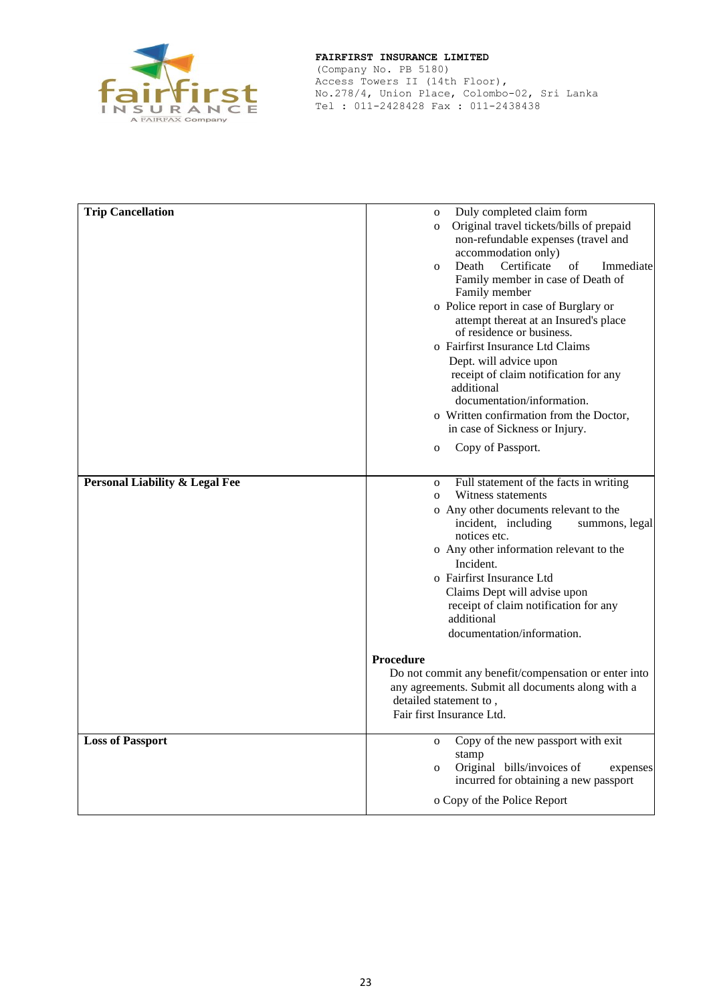

(Company No. PB 5180) Access Towers II (14th Floor), No.278/4, Union Place, Colombo-02, Sri Lanka Tel : 011-2428428 Fax : 011-2438438

| <b>Trip Cancellation</b>                  | Duly completed claim form<br>$\mathbf 0$                           |
|-------------------------------------------|--------------------------------------------------------------------|
|                                           | Original travel tickets/bills of prepaid<br>$\mathbf{O}$           |
|                                           | non-refundable expenses (travel and                                |
|                                           | accommodation only)                                                |
|                                           | Death<br>Certificate<br>Immediate<br>of<br>$\Omega$                |
|                                           | Family member in case of Death of<br>Family member                 |
|                                           | o Police report in case of Burglary or                             |
|                                           | attempt thereat at an Insured's place<br>of residence or business. |
|                                           | o Fairfirst Insurance Ltd Claims                                   |
|                                           | Dept. will advice upon                                             |
|                                           | receipt of claim notification for any                              |
|                                           | additional                                                         |
|                                           | documentation/information.                                         |
|                                           | o Written confirmation from the Doctor,                            |
|                                           | in case of Sickness or Injury.                                     |
|                                           | Copy of Passport.<br>$\mathbf{O}$                                  |
|                                           |                                                                    |
| <b>Personal Liability &amp; Legal Fee</b> | Full statement of the facts in writing<br>$\mathbf 0$              |
|                                           | Witness statements<br>$\Omega$                                     |
|                                           | o Any other documents relevant to the                              |
|                                           | incident, including<br>summons, legal<br>notices etc.              |
|                                           | o Any other information relevant to the                            |
|                                           | Incident.                                                          |
|                                           | o Fairfirst Insurance Ltd                                          |
|                                           | Claims Dept will advise upon                                       |
|                                           | receipt of claim notification for any                              |
|                                           | additional                                                         |
|                                           | documentation/information.                                         |
|                                           | <b>Procedure</b>                                                   |
|                                           | Do not commit any benefit/compensation or enter into               |
|                                           | any agreements. Submit all documents along with a                  |
|                                           | detailed statement to,                                             |
|                                           | Fair first Insurance Ltd.                                          |
| <b>Loss of Passport</b>                   | Copy of the new passport with exit<br>$\mathbf 0$                  |
|                                           | stamp                                                              |
|                                           | Original bills/invoices of<br>expenses<br>$\mathbf{O}$             |
|                                           | incurred for obtaining a new passport                              |
|                                           | o Copy of the Police Report                                        |
|                                           |                                                                    |